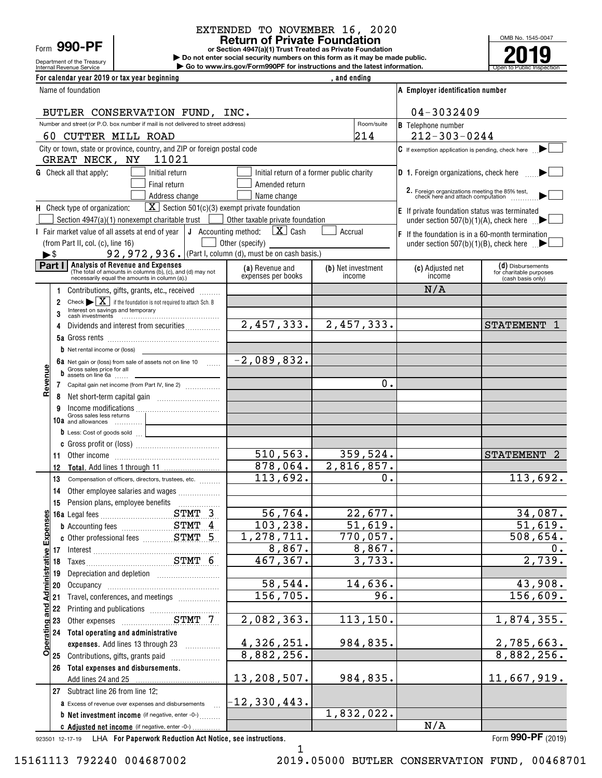Department of the Treasury Form **990-PF**

# EXTENDED TO NOVEMBER 16, 2020

**or Section 4947(a)(1) Trust Treated as Private Foundation Return of Private Foundation**

Internal Revenue Service **Number 19th Construction Constructions and the latest information.** The Service of Public Inspection **| Do not enter social security numbers on this form as it may be made public. | Go to www.irs.gov/Form990PF for instructions and the latest information.**



| For calendar year 2019 or tax year beginning                                                                                                        |                                  | and ending                                |                                                                                     |                                              |  |  |
|-----------------------------------------------------------------------------------------------------------------------------------------------------|----------------------------------|-------------------------------------------|-------------------------------------------------------------------------------------|----------------------------------------------|--|--|
| Name of foundation                                                                                                                                  |                                  |                                           | A Employer identification number                                                    |                                              |  |  |
| BUTLER CONSERVATION FUND, INC.                                                                                                                      |                                  |                                           | 04-3032409                                                                          |                                              |  |  |
| Number and street (or P.O. box number if mail is not delivered to street address)                                                                   |                                  | Room/suite                                | <b>B</b> Telephone number                                                           |                                              |  |  |
| 60 CUTTER MILL ROAD                                                                                                                                 |                                  | 214                                       | $212 - 303 - 0244$                                                                  |                                              |  |  |
| City or town, state or province, country, and ZIP or foreign postal code<br>11021<br>GREAT NECK, NY                                                 |                                  |                                           | $C$ If exemption application is pending, check here                                 |                                              |  |  |
| <b>G</b> Check all that apply:<br>Initial return                                                                                                    |                                  | Initial return of a former public charity | <b>D</b> 1. Foreign organizations, check here                                       |                                              |  |  |
| Final return                                                                                                                                        | Amended return                   |                                           |                                                                                     |                                              |  |  |
| Address change                                                                                                                                      | Name change                      |                                           | 2. Foreign organizations meeting the 85% test,<br>check here and attach computation |                                              |  |  |
| $\boxed{\mathbf{X}}$ Section 501(c)(3) exempt private foundation<br>H Check type of organization:                                                   |                                  |                                           | E If private foundation status was terminated                                       |                                              |  |  |
| Section $4947(a)(1)$ nonexempt charitable trust  <br>$\sim$ 1                                                                                       | Other taxable private foundation |                                           | under section 507(b)(1)(A), check here $\Box$                                       |                                              |  |  |
| I Fair market value of all assets at end of year $ J$ Accounting method: $X$ Cash                                                                   |                                  | Accrual                                   | <b>F</b> If the foundation is in a 60-month termination                             |                                              |  |  |
| (from Part II, col. (c), line 16)<br>92, 972, 936. (Part I, column (d), must be on cash basis.)<br>►\$                                              | Other (specify)                  |                                           | under section $507(b)(1)(B)$ , check here $\blacksquare$                            |                                              |  |  |
| Part I<br><b>Analysis of Revenue and Expenses</b>                                                                                                   | (a) Revenue and                  | (b) Net investment                        | (c) Adjusted net                                                                    | (d) Disbursements                            |  |  |
| (The total of amounts in columns (b), (c), and (d) may not<br>necessarily equal the amounts in column (a).)                                         | expenses per books               | income                                    | income                                                                              | for charitable purposes<br>(cash basis only) |  |  |
| Contributions, gifts, grants, etc., received                                                                                                        |                                  |                                           | N/A                                                                                 |                                              |  |  |
| Check $\blacktriangleright$ $\mid$ $\mathbf{X}$   if the foundation is not required to attach Sch. B<br>2<br>Interest on savings and temporary<br>3 |                                  |                                           |                                                                                     |                                              |  |  |
| Dividends and interest from securities<br>4                                                                                                         | 2,457,333.                       | 2,457,333.                                |                                                                                     | <b>STATEMENT</b>                             |  |  |
|                                                                                                                                                     |                                  |                                           |                                                                                     |                                              |  |  |
| <b>b</b> Net rental income or (loss)                                                                                                                |                                  |                                           |                                                                                     |                                              |  |  |
| <b>6a</b> Net gain or (loss) from sale of assets not on line 10 $\ldots$<br>Gross sales price for all<br>b<br>assets on line 6a                     | $-2,089,832.$                    |                                           |                                                                                     |                                              |  |  |
| Revenu<br>Capital gain net income (from Part IV, line 2)<br>7                                                                                       |                                  | 0.                                        |                                                                                     |                                              |  |  |
| 8                                                                                                                                                   |                                  |                                           |                                                                                     |                                              |  |  |
| Income modifications<br>Gross sales less returns<br>9                                                                                               |                                  |                                           |                                                                                     |                                              |  |  |
| 10a and allowances                                                                                                                                  |                                  |                                           |                                                                                     |                                              |  |  |
| D Less: Cost of goods sold                                                                                                                          |                                  |                                           |                                                                                     |                                              |  |  |
|                                                                                                                                                     | 510, 563.                        | 359,524.                                  |                                                                                     | <b>STATEMENT</b><br>2                        |  |  |
| 11<br>12                                                                                                                                            | 878,064.                         | 2,816,857.                                |                                                                                     |                                              |  |  |
| 13<br>Compensation of officers, directors, trustees, etc.                                                                                           | 113,692.                         | 0.                                        |                                                                                     | 113,692.                                     |  |  |
| Other employee salaries and wages<br>14                                                                                                             |                                  |                                           |                                                                                     |                                              |  |  |
| 15                                                                                                                                                  |                                  |                                           |                                                                                     |                                              |  |  |
| STMT 3<br>ဖာျ                                                                                                                                       | 56, 764.                         | 22,677.                                   |                                                                                     | 34,087.                                      |  |  |
| <b>b</b> Accounting fees <b>STMT</b> 4                                                                                                              | 103, 238.                        | $\overline{51}$ , 619.                    |                                                                                     | 51,619.                                      |  |  |
| Expense                                                                                                                                             | 1,278,711.                       | 770,057.                                  |                                                                                     | $\overline{508}$ , 654.                      |  |  |
| 17 Interest<br>18 Taxes                                                                                                                             | 8,867.                           | 8,867.                                    |                                                                                     | 0.                                           |  |  |
| Administrative                                                                                                                                      | 467, 367.                        | 3,733.                                    |                                                                                     | 2,739.                                       |  |  |
| Depreciation and depletion [111] [11] Depreciation and depletion<br>19                                                                              |                                  |                                           |                                                                                     |                                              |  |  |
| 20                                                                                                                                                  | 58, 544.                         | 14,636.                                   |                                                                                     | 43,908.                                      |  |  |
| Travel, conferences, and meetings<br>21                                                                                                             | 156, 705.                        | 96.                                       |                                                                                     | 156,609.                                     |  |  |
| and<br>all<br>Printing and publications<br>Other expenses<br>COMPLET STAT 7<br>22                                                                   | 2,082,363.                       | 113,150.                                  |                                                                                     | 1,874,355.                                   |  |  |
| 23<br>24 Total operating and administrative                                                                                                         |                                  |                                           |                                                                                     |                                              |  |  |
| <b>Operating</b><br>expenses. Add lines 13 through 23                                                                                               | 4,326,251.                       | 984,835.                                  |                                                                                     | 2,785,663.                                   |  |  |
| 25 Contributions, gifts, grants paid                                                                                                                | 8,882,256.                       |                                           |                                                                                     | 8,882,256.                                   |  |  |
| 26 Total expenses and disbursements.                                                                                                                |                                  |                                           |                                                                                     |                                              |  |  |
|                                                                                                                                                     | 13,208,507.                      | 984, 835.                                 |                                                                                     | 11,667,919.                                  |  |  |
| 27 Subtract line 26 from line 12:                                                                                                                   |                                  |                                           |                                                                                     |                                              |  |  |
| <b>a</b> Excess of revenue over expenses and disbursements                                                                                          | $-12,330,443.$                   |                                           |                                                                                     |                                              |  |  |
| <b>b</b> Net investment income (if negative, enter -0-)                                                                                             |                                  | 1,832,022.                                |                                                                                     |                                              |  |  |
| c Adjusted net income (if negative, enter -0-)                                                                                                      |                                  |                                           | N/A                                                                                 |                                              |  |  |

923501 12-17-19 **For Paperwork Reduction Act Notice, see instructions.** LHA Form (2019)

**990-PF**

1

15161113 792240 004687002 2019.05000 BUTLER CONSERVATION FUND, 00468701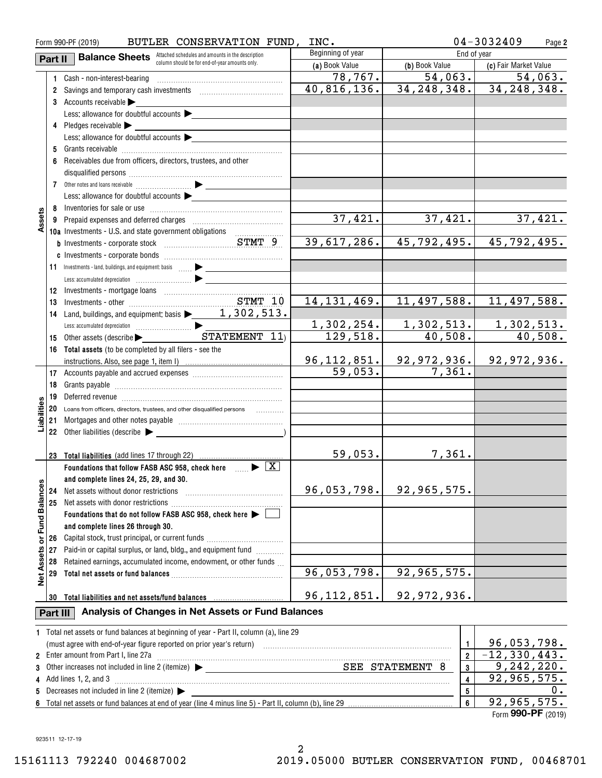|                      | Form 990-PF (2019) | 04-3032409<br>Page 2                                                                                                                                                                                                                |                   |                                |                              |  |  |  |
|----------------------|--------------------|-------------------------------------------------------------------------------------------------------------------------------------------------------------------------------------------------------------------------------------|-------------------|--------------------------------|------------------------------|--|--|--|
|                      | Part II            | <b>Balance Sheets</b> Attached schedules and amounts in the description                                                                                                                                                             | Beginning of year |                                | End of year                  |  |  |  |
|                      |                    | column should be for end-of-year amounts only.                                                                                                                                                                                      | (a) Book Value    | (b) Book Value                 | (c) Fair Market Value        |  |  |  |
|                      |                    | 1 Cash - non-interest-bearing                                                                                                                                                                                                       | 78,767.           | 54,063.                        | 54,063.                      |  |  |  |
|                      |                    | 2 Savings and temporary cash investments [111] Savings and temporary cash investments                                                                                                                                               | 40,816,136.       | 34, 248, 348.                  | 34, 248, 348.                |  |  |  |
|                      |                    | 3 Accounts receivable                                                                                                                                                                                                               |                   |                                |                              |  |  |  |
|                      |                    | Less: allowance for doubtful accounts                                                                                                                                                                                               |                   |                                |                              |  |  |  |
|                      |                    | 4 Pledges receivable $\blacktriangleright$                                                                                                                                                                                          |                   |                                |                              |  |  |  |
|                      |                    | Less: allowance for doubtful accounts                                                                                                                                                                                               |                   |                                |                              |  |  |  |
|                      |                    |                                                                                                                                                                                                                                     |                   |                                |                              |  |  |  |
|                      |                    | 6 Receivables due from officers, directors, trustees, and other                                                                                                                                                                     |                   |                                |                              |  |  |  |
|                      |                    |                                                                                                                                                                                                                                     |                   |                                |                              |  |  |  |
|                      |                    |                                                                                                                                                                                                                                     |                   |                                |                              |  |  |  |
|                      |                    | Less: allowance for doubtful accounts $\blacktriangleright$                                                                                                                                                                         |                   |                                |                              |  |  |  |
|                      |                    |                                                                                                                                                                                                                                     |                   |                                |                              |  |  |  |
| Assets               |                    |                                                                                                                                                                                                                                     | 37,421.           | 37,421.                        | 37, 421.                     |  |  |  |
|                      |                    | 10a Investments - U.S. and state government obligations                                                                                                                                                                             |                   |                                |                              |  |  |  |
|                      |                    |                                                                                                                                                                                                                                     | 39,617,286.       | 45,792,495.                    | 45,792,495.                  |  |  |  |
|                      |                    |                                                                                                                                                                                                                                     |                   |                                |                              |  |  |  |
|                      |                    | 11 Investments - land, buildings, and equipment: basis  > _______________                                                                                                                                                           |                   |                                |                              |  |  |  |
|                      |                    |                                                                                                                                                                                                                                     |                   |                                |                              |  |  |  |
|                      |                    |                                                                                                                                                                                                                                     |                   |                                |                              |  |  |  |
|                      | 13                 |                                                                                                                                                                                                                                     | 14, 131, 469.     | 11,497,588.                    | 11,497,588.                  |  |  |  |
|                      |                    | 14 Land, buildings, and equipment: basis 1, 302, 513.                                                                                                                                                                               |                   |                                |                              |  |  |  |
|                      |                    |                                                                                                                                                                                                                                     | 1,302,254.        | 1,302,513.                     |                              |  |  |  |
|                      |                    | 15 Other assets (describe   STATEMENT 11)                                                                                                                                                                                           | 129,518.          | $\overline{40,508}$ .          | $\frac{1,302,513.}{40,508.}$ |  |  |  |
|                      |                    | 16 Total assets (to be completed by all filers - see the                                                                                                                                                                            |                   |                                |                              |  |  |  |
|                      |                    |                                                                                                                                                                                                                                     |                   | <u>96,112,851. 92,972,936.</u> | 92,972,936.                  |  |  |  |
|                      |                    |                                                                                                                                                                                                                                     | 59,053.           | 7,361.                         |                              |  |  |  |
|                      | 18                 |                                                                                                                                                                                                                                     |                   |                                |                              |  |  |  |
|                      | 19                 | Deferred revenue informational contracts and a series of the series of the series of the series of the series o                                                                                                                     |                   |                                |                              |  |  |  |
| Liabilities          |                    | 20 Loans from officers, directors, trustees, and other disqualified persons                                                                                                                                                         |                   |                                |                              |  |  |  |
|                      |                    |                                                                                                                                                                                                                                     |                   |                                |                              |  |  |  |
|                      |                    | 22 Other liabilities (describe                                                                                                                                                                                                      |                   |                                |                              |  |  |  |
|                      |                    |                                                                                                                                                                                                                                     |                   |                                |                              |  |  |  |
|                      |                    |                                                                                                                                                                                                                                     | 59,053.           | 7,361.                         |                              |  |  |  |
|                      |                    | Foundations that follow FASB ASC 958, check here $\Box$ $\blacktriangleright$ $\Box$                                                                                                                                                |                   |                                |                              |  |  |  |
|                      |                    | and complete lines 24, 25, 29, and 30.                                                                                                                                                                                              |                   |                                |                              |  |  |  |
|                      | 24                 | Net assets without donor restrictions                                                                                                                                                                                               | 96,053,798.       | 92,965,575.                    |                              |  |  |  |
| <b>Fund Balances</b> | 25                 |                                                                                                                                                                                                                                     |                   |                                |                              |  |  |  |
|                      |                    | Foundations that do not follow FASB ASC 958, check here                                                                                                                                                                             |                   |                                |                              |  |  |  |
|                      |                    | and complete lines 26 through 30.                                                                                                                                                                                                   |                   |                                |                              |  |  |  |
| ŏ                    | 26                 | Capital stock, trust principal, or current funds                                                                                                                                                                                    |                   |                                |                              |  |  |  |
|                      | 27                 | Paid-in or capital surplus, or land, bldg., and equipment fund                                                                                                                                                                      |                   |                                |                              |  |  |  |
|                      | 28                 | Retained earnings, accumulated income, endowment, or other funds                                                                                                                                                                    |                   |                                |                              |  |  |  |
| <b>Net Assets</b>    | 29                 |                                                                                                                                                                                                                                     | 96,053,798.       | 92, 965, 575.                  |                              |  |  |  |
|                      |                    |                                                                                                                                                                                                                                     |                   |                                |                              |  |  |  |
|                      | 30                 | Total liabilities and net assets/fund balances                                                                                                                                                                                      | 96, 112, 851.     | 92,972,936.                    |                              |  |  |  |
|                      | Part III           | Analysis of Changes in Net Assets or Fund Balances                                                                                                                                                                                  |                   |                                |                              |  |  |  |
|                      |                    | 1 Total net assets or fund balances at beginning of year - Part II, column (a), line 29                                                                                                                                             |                   |                                |                              |  |  |  |
|                      |                    |                                                                                                                                                                                                                                     |                   |                                | 96,053,798.                  |  |  |  |
|                      |                    | 2 Enter amount from Part I, line 27a                                                                                                                                                                                                | $\overline{2}$    | $-12, 330, 443.$               |                              |  |  |  |
| 3                    |                    | $\begin{array}{c}\n\text{7} \text{ (itemize)} \quad \bullet \quad \text{SEE} \quad \text{STATEMENT} \quad \text{8}\n\end{array}$<br>Other increases not included in line 2 (itemize) $\blacktriangleright$ ________________________ |                   | 3                              | 9,242,220.                   |  |  |  |
|                      |                    | 4 Add lines 1, 2, and 3                                                                                                                                                                                                             |                   | 4                              | 92,965,575.                  |  |  |  |
|                      |                    | Decreases not included in line 2 (itemize) >                                                                                                                                                                                        |                   | 5                              | υ.                           |  |  |  |
| 92, 965, 575.<br>6   |                    |                                                                                                                                                                                                                                     |                   |                                |                              |  |  |  |

Form (2019) **990-PF** 92,965,575.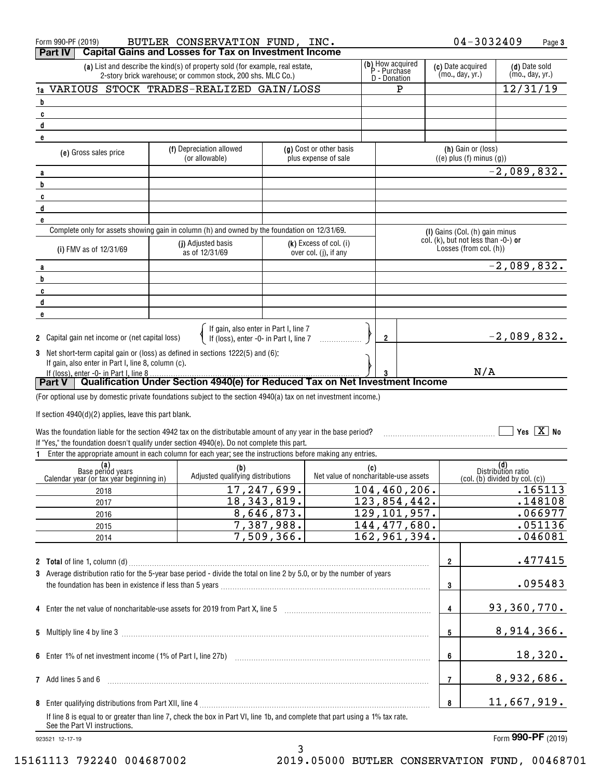|                                                                         | $04 - 3032409$<br>BUTLER CONSERVATION FUND, INC.<br>Form 990-PF (2019)<br>Page 3                                                                                    |  |                                                                                                                                              |               |                                                   |     |                                                  |  |                                                                  |                           |                                  |
|-------------------------------------------------------------------------|---------------------------------------------------------------------------------------------------------------------------------------------------------------------|--|----------------------------------------------------------------------------------------------------------------------------------------------|---------------|---------------------------------------------------|-----|--------------------------------------------------|--|------------------------------------------------------------------|---------------------------|----------------------------------|
| <b>Capital Gains and Losses for Tax on Investment Income</b><br>Part IV |                                                                                                                                                                     |  |                                                                                                                                              |               |                                                   |     |                                                  |  |                                                                  |                           |                                  |
|                                                                         |                                                                                                                                                                     |  | (a) List and describe the kind(s) of property sold (for example, real estate,<br>2-story brick warehouse; or common stock, 200 shs. MLC Co.) |               |                                                   |     | (b) How acquired<br>P - Purchase<br>D - Donation |  | (c) Date acquired<br>(mo., day, yr.)                             |                           | (d) Date sold<br>(mo., day, yr.) |
|                                                                         | 1a VARIOUS STOCK TRADES-REALIZED GAIN/LOSS                                                                                                                          |  |                                                                                                                                              |               |                                                   |     | P                                                |  |                                                                  | 12/31/19                  |                                  |
| b                                                                       |                                                                                                                                                                     |  |                                                                                                                                              |               |                                                   |     |                                                  |  |                                                                  |                           |                                  |
|                                                                         | C                                                                                                                                                                   |  |                                                                                                                                              |               |                                                   |     |                                                  |  |                                                                  |                           |                                  |
|                                                                         | d                                                                                                                                                                   |  |                                                                                                                                              |               |                                                   |     |                                                  |  |                                                                  |                           |                                  |
|                                                                         | e                                                                                                                                                                   |  | (f) Depreciation allowed                                                                                                                     |               | (g) Cost or other basis                           |     |                                                  |  | (h) Gain or (loss)                                               |                           |                                  |
|                                                                         | (e) Gross sales price                                                                                                                                               |  | (or allowable)                                                                                                                               |               | plus expense of sale                              |     |                                                  |  | $((e)$ plus $(f)$ minus $(g))$                                   |                           |                                  |
|                                                                         | a                                                                                                                                                                   |  |                                                                                                                                              |               |                                                   |     |                                                  |  |                                                                  | $\overline{-2}$ ,089,832. |                                  |
| b                                                                       |                                                                                                                                                                     |  |                                                                                                                                              |               |                                                   |     |                                                  |  |                                                                  |                           |                                  |
|                                                                         | C                                                                                                                                                                   |  |                                                                                                                                              |               |                                                   |     |                                                  |  |                                                                  |                           |                                  |
|                                                                         | d                                                                                                                                                                   |  |                                                                                                                                              |               |                                                   |     |                                                  |  |                                                                  |                           |                                  |
|                                                                         | e                                                                                                                                                                   |  |                                                                                                                                              |               |                                                   |     |                                                  |  |                                                                  |                           |                                  |
|                                                                         | Complete only for assets showing gain in column (h) and owned by the foundation on 12/31/69.                                                                        |  |                                                                                                                                              |               |                                                   |     |                                                  |  | (I) Gains (Col. (h) gain minus                                   |                           |                                  |
|                                                                         | (i) FMV as of 12/31/69                                                                                                                                              |  | (j) Adjusted basis<br>as of 12/31/69                                                                                                         |               | $(k)$ Excess of col. (i)<br>over col. (j), if any |     |                                                  |  | col. $(k)$ , but not less than -0-) or<br>Losses (from col. (h)) |                           |                                  |
|                                                                         | a                                                                                                                                                                   |  |                                                                                                                                              |               |                                                   |     |                                                  |  |                                                                  | $-2,089,832.$             |                                  |
| b                                                                       |                                                                                                                                                                     |  |                                                                                                                                              |               |                                                   |     |                                                  |  |                                                                  |                           |                                  |
|                                                                         | C                                                                                                                                                                   |  |                                                                                                                                              |               |                                                   |     |                                                  |  |                                                                  |                           |                                  |
|                                                                         | d                                                                                                                                                                   |  |                                                                                                                                              |               |                                                   |     |                                                  |  |                                                                  |                           |                                  |
|                                                                         | e                                                                                                                                                                   |  |                                                                                                                                              |               |                                                   |     |                                                  |  |                                                                  |                           |                                  |
|                                                                         | 2 Capital gain net income or (net capital loss)                                                                                                                     |  | If gain, also enter in Part I, line 7<br>If (loss), enter -0- in Part I, line 7                                                              |               |                                                   |     | $\mathbf{2}$                                     |  |                                                                  | $-2,089,832.$             |                                  |
|                                                                         | 3 Net short-term capital gain or (loss) as defined in sections 1222(5) and (6):                                                                                     |  |                                                                                                                                              |               |                                                   |     |                                                  |  |                                                                  |                           |                                  |
|                                                                         | If gain, also enter in Part I, line 8, column (c).                                                                                                                  |  |                                                                                                                                              |               |                                                   |     |                                                  |  |                                                                  |                           |                                  |
|                                                                         | If (loss), enter -0- in Part I, line 8<br>Part V   Qualification Under Section 4940(e) for Reduced Tax on Net Investment Income                                     |  |                                                                                                                                              |               |                                                   |     | 3                                                |  | N/A                                                              |                           |                                  |
|                                                                         |                                                                                                                                                                     |  |                                                                                                                                              |               |                                                   |     |                                                  |  |                                                                  |                           |                                  |
|                                                                         | (For optional use by domestic private foundations subject to the section 4940(a) tax on net investment income.)                                                     |  |                                                                                                                                              |               |                                                   |     |                                                  |  |                                                                  |                           |                                  |
|                                                                         | If section $4940(d)(2)$ applies, leave this part blank.                                                                                                             |  |                                                                                                                                              |               |                                                   |     |                                                  |  |                                                                  |                           |                                  |
|                                                                         | Was the foundation liable for the section 4942 tax on the distributable amount of any year in the base period?                                                      |  |                                                                                                                                              |               |                                                   |     |                                                  |  |                                                                  |                           | Yes $\boxed{X}$ No               |
|                                                                         | If "Yes," the foundation doesn't qualify under section 4940(e). Do not complete this part.                                                                          |  |                                                                                                                                              |               |                                                   |     |                                                  |  |                                                                  |                           |                                  |
|                                                                         | 1 Enter the appropriate amount in each column for each year; see the instructions before making any entries.                                                        |  |                                                                                                                                              |               |                                                   |     |                                                  |  |                                                                  |                           |                                  |
|                                                                         | (a)                                                                                                                                                                 |  | (b)                                                                                                                                          |               |                                                   | (C) |                                                  |  |                                                                  | (d)<br>Distribution ratio |                                  |
|                                                                         | Base periód years<br>Calendar year (or tax year beginning in)                                                                                                       |  | Adjusted qualifying distributions                                                                                                            |               | Net value of noncharitable-use assets             |     |                                                  |  | $\left(\text{col. (b) divided by col. (c)}\right)$               |                           |                                  |
|                                                                         | 2018                                                                                                                                                                |  |                                                                                                                                              | 17,247,699.   |                                                   |     | 104,460,206.                                     |  |                                                                  |                           | .165113                          |
|                                                                         | 2017                                                                                                                                                                |  |                                                                                                                                              | 18, 343, 819. |                                                   |     | 123,854,442.                                     |  |                                                                  |                           | .148108                          |
|                                                                         | 2016                                                                                                                                                                |  |                                                                                                                                              | 8,646,873.    |                                                   |     | 129, 101, 957.                                   |  |                                                                  |                           | .066977                          |
|                                                                         | 2015                                                                                                                                                                |  |                                                                                                                                              | 7,387,988.    |                                                   |     | 144, 477, 680.                                   |  |                                                                  |                           | .051136                          |
|                                                                         | 2014                                                                                                                                                                |  |                                                                                                                                              | 7,509,366.    |                                                   |     | 162,961,394.                                     |  |                                                                  |                           | .046081                          |
|                                                                         |                                                                                                                                                                     |  |                                                                                                                                              |               |                                                   |     |                                                  |  |                                                                  |                           |                                  |
|                                                                         |                                                                                                                                                                     |  |                                                                                                                                              |               |                                                   |     |                                                  |  | $\overline{\mathbf{2}}$                                          |                           | .477415                          |
|                                                                         | 3 Average distribution ratio for the 5-year base period - divide the total on line 2 by 5.0, or by the number of years                                              |  |                                                                                                                                              |               |                                                   |     |                                                  |  |                                                                  |                           |                                  |
|                                                                         |                                                                                                                                                                     |  |                                                                                                                                              |               |                                                   |     |                                                  |  | 3                                                                |                           | .095483                          |
|                                                                         | 4 Enter the net value of noncharitable-use assets for 2019 from Part X, line 5 [2019] [2010] The net value of noncharitable-use assets for 2019 from Part X, line 5 |  |                                                                                                                                              |               |                                                   |     |                                                  |  | 4                                                                | 93, 360, 770.             |                                  |
|                                                                         |                                                                                                                                                                     |  |                                                                                                                                              |               |                                                   |     |                                                  |  |                                                                  |                           |                                  |
|                                                                         |                                                                                                                                                                     |  |                                                                                                                                              |               |                                                   |     |                                                  |  | 5                                                                | 8,914,366.                |                                  |
|                                                                         |                                                                                                                                                                     |  |                                                                                                                                              |               |                                                   |     |                                                  |  |                                                                  |                           |                                  |
|                                                                         |                                                                                                                                                                     |  |                                                                                                                                              |               |                                                   |     |                                                  |  | 6                                                                |                           | 18,320.                          |
|                                                                         | 7 Add lines 5 and 6                                                                                                                                                 |  |                                                                                                                                              |               |                                                   |     |                                                  |  | $\overline{7}$                                                   | 8,932,686.                |                                  |
|                                                                         |                                                                                                                                                                     |  |                                                                                                                                              |               |                                                   |     |                                                  |  |                                                                  |                           |                                  |
|                                                                         | If line 8 is equal to or greater than line 7, check the box in Part VI, line 1b, and complete that part using a 1% tax rate.                                        |  |                                                                                                                                              |               |                                                   |     |                                                  |  | $\pmb{8}$                                                        | 11,667,919.               |                                  |
|                                                                         | See the Part VI instructions.                                                                                                                                       |  |                                                                                                                                              |               |                                                   |     |                                                  |  |                                                                  |                           |                                  |

3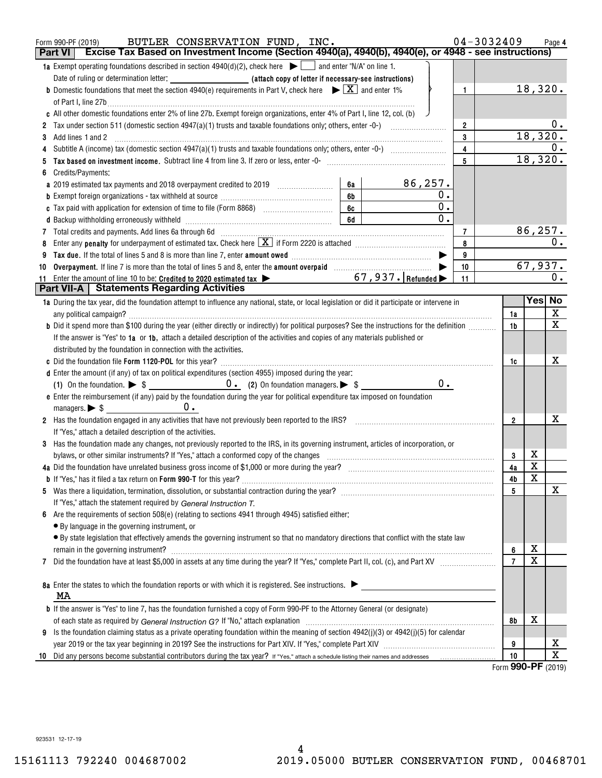|    | BUTLER CONSERVATION FUND, INC.<br>Form 990-PF (2019)                                                                                                                                                                                                 |                | 04-3032409 |                          |                         | Page 4                  |
|----|------------------------------------------------------------------------------------------------------------------------------------------------------------------------------------------------------------------------------------------------------|----------------|------------|--------------------------|-------------------------|-------------------------|
|    | Excise Tax Based on Investment Income (Section 4940(a), 4940(b), 4940(e), or 4948 - see instructions)<br><b>Part VI</b>                                                                                                                              |                |            |                          |                         |                         |
|    | <b>1a</b> Exempt operating foundations described in section $4940(d)(2)$ , check here $\blacktriangleright$ and enter "N/A" on line 1.                                                                                                               |                |            |                          |                         |                         |
|    |                                                                                                                                                                                                                                                      |                |            |                          |                         |                         |
|    | <b>b</b> Domestic foundations that meet the section 4940(e) requirements in Part V, check here $\blacktriangleright \boxed{X}$ and enter 1%                                                                                                          | $\mathbf{1}$   |            |                          | 18,320.                 |                         |
|    | of Part I, line 27b $\ldots$                                                                                                                                                                                                                         |                |            |                          |                         |                         |
|    | c All other domestic foundations enter 2% of line 27b. Exempt foreign organizations, enter 4% of Part I, line 12, col. (b)                                                                                                                           |                |            |                          |                         |                         |
|    |                                                                                                                                                                                                                                                      | $\overline{2}$ |            |                          |                         | 0.                      |
| 3  | Add lines 1 and 2                                                                                                                                                                                                                                    | 3              |            |                          | 18,320.                 |                         |
|    |                                                                                                                                                                                                                                                      | $\overline{4}$ |            |                          |                         | 0.                      |
|    |                                                                                                                                                                                                                                                      | 5              |            |                          | 18,320.                 |                         |
|    | Credits/Payments:                                                                                                                                                                                                                                    |                |            |                          |                         |                         |
|    | 86,257.<br>6a<br>a 2019 estimated tax payments and 2018 overpayment credited to 2019 [11, 12011]                                                                                                                                                     |                |            |                          |                         |                         |
|    | 0.<br>6b<br><b>b</b> Exempt foreign organizations - tax withheld at source <i>manumanal component toreign</i> organizations - tax withheld at source manumanal component to the set of the set of the set of the set of the set of the set of the se |                |            |                          |                         |                         |
|    | $\overline{0}$ .<br>6c                                                                                                                                                                                                                               |                |            |                          |                         |                         |
|    | $\overline{0}$ .<br>6d                                                                                                                                                                                                                               |                |            |                          |                         |                         |
|    |                                                                                                                                                                                                                                                      | 7              |            |                          |                         | <u>86,257.</u>          |
|    | Enter any <b>penalty</b> for underpayment of estimated tax. Check here $\boxed{\mathbf{X}}$ if Form 2220 is attached <i>manumumumum</i>                                                                                                              | 8              |            |                          |                         | $\overline{0}$ .        |
|    |                                                                                                                                                                                                                                                      | 9              |            |                          |                         |                         |
| 10 |                                                                                                                                                                                                                                                      | 10             |            |                          |                         | 67,937.                 |
| 11 | Enter the amount of line 10 to be: Credited to 2020 estimated tax $\blacktriangleright$ 67, 937. Refunded $\blacktriangleright$                                                                                                                      | 11             |            |                          |                         | 0.                      |
|    | <b>Part VII-A   Statements Regarding Activities</b>                                                                                                                                                                                                  |                |            |                          |                         |                         |
|    | 1a During the tax year, did the foundation attempt to influence any national, state, or local legislation or did it participate or intervene in                                                                                                      |                |            |                          | Yes No                  |                         |
|    | any political campaign?                                                                                                                                                                                                                              |                |            | 1a                       |                         | X                       |
|    | <b>b</b> Did it spend more than \$100 during the year (either directly or indirectly) for political purposes? See the instructions for the definition                                                                                                |                |            | 1b                       |                         | $\overline{\mathbf{x}}$ |
|    | If the answer is "Yes" to 1a or 1b, attach a detailed description of the activities and copies of any materials published or                                                                                                                         |                |            |                          |                         |                         |
|    | distributed by the foundation in connection with the activities.                                                                                                                                                                                     |                |            |                          |                         |                         |
|    |                                                                                                                                                                                                                                                      |                |            | 1c                       |                         | х                       |
|    | d Enter the amount (if any) of tax on political expenditures (section 4955) imposed during the year:                                                                                                                                                 |                |            |                          |                         |                         |
|    | 0.                                                                                                                                                                                                                                                   |                |            |                          |                         |                         |
|    | e Enter the reimbursement (if any) paid by the foundation during the year for political expenditure tax imposed on foundation                                                                                                                        |                |            |                          |                         |                         |
|    | 0.<br>managers. $\triangleright$ \$ $\perp$                                                                                                                                                                                                          |                |            |                          |                         |                         |
|    | 2 Has the foundation engaged in any activities that have not previously been reported to the IRS?                                                                                                                                                    |                |            | $\overline{2}$           |                         | х                       |
|    | If "Yes," attach a detailed description of the activities.                                                                                                                                                                                           |                |            |                          |                         |                         |
|    | 3 Has the foundation made any changes, not previously reported to the IRS, in its governing instrument, articles of incorporation, or                                                                                                                |                |            |                          |                         |                         |
|    | bylaws, or other similar instruments? If "Yes," attach a conformed copy of the changes                                                                                                                                                               |                |            | 3                        | х                       |                         |
|    |                                                                                                                                                                                                                                                      |                |            | 4a                       | $\overline{\text{X}}$   |                         |
|    |                                                                                                                                                                                                                                                      |                |            | 4b                       | $\overline{\textbf{x}}$ |                         |
|    |                                                                                                                                                                                                                                                      |                |            | 5                        |                         | х                       |
|    | If "Yes," attach the statement required by General Instruction T.                                                                                                                                                                                    |                |            |                          |                         |                         |
| 6  | Are the requirements of section 508(e) (relating to sections 4941 through 4945) satisfied either:                                                                                                                                                    |                |            |                          |                         |                         |
|    | • By language in the governing instrument, or                                                                                                                                                                                                        |                |            |                          |                         |                         |
|    | · By state legislation that effectively amends the governing instrument so that no mandatory directions that conflict with the state law                                                                                                             |                |            |                          |                         |                         |
|    | remain in the governing instrument?                                                                                                                                                                                                                  |                |            | 6                        | х                       |                         |
| 7  |                                                                                                                                                                                                                                                      |                |            | $\overline{7}$           | $\overline{\mathtt{x}}$ |                         |
|    |                                                                                                                                                                                                                                                      |                |            |                          |                         |                         |
|    | 8a Enter the states to which the foundation reports or with which it is registered. See instructions.                                                                                                                                                |                |            |                          |                         |                         |
|    | MA                                                                                                                                                                                                                                                   |                |            |                          |                         |                         |
|    | <b>b</b> If the answer is "Yes" to line 7, has the foundation furnished a copy of Form 990-PF to the Attorney General (or designate)                                                                                                                 |                |            |                          |                         |                         |
|    |                                                                                                                                                                                                                                                      |                |            | 8b                       | x                       |                         |
| 9  | Is the foundation claiming status as a private operating foundation within the meaning of section 4942(j)(3) or 4942(j)(5) for calendar                                                                                                              |                |            |                          |                         |                         |
|    |                                                                                                                                                                                                                                                      |                |            | 9                        |                         | х                       |
| 10 |                                                                                                                                                                                                                                                      |                |            | 10                       |                         | $\overline{\mathtt{x}}$ |
|    |                                                                                                                                                                                                                                                      |                |            | $\overline{\phantom{0}}$ |                         |                         |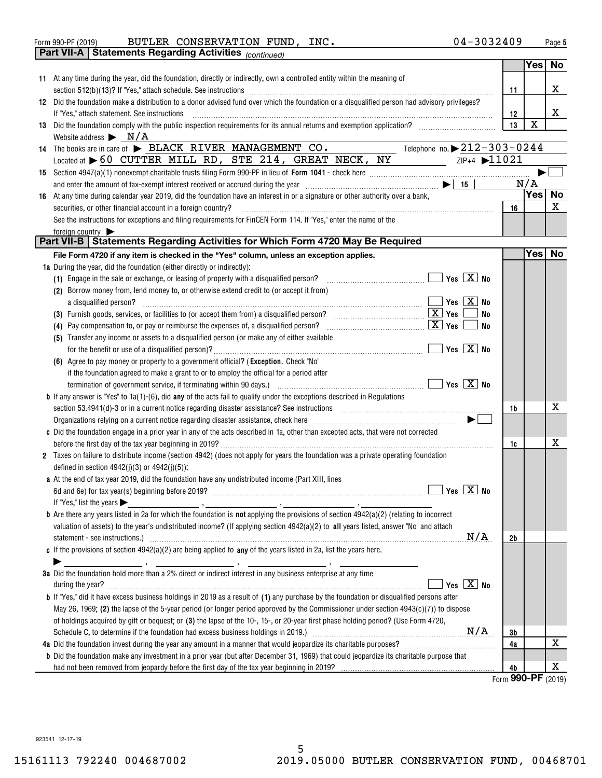| $04 - 3032409$<br>INC.<br>BUTLER CONSERVATION FUND,<br>Form 990-PF (2019)<br>Page |
|-----------------------------------------------------------------------------------|
|-----------------------------------------------------------------------------------|

|    |                                                | <b>Part VII-A   Statements Regarding Activities</b> $_{(continued)}$                                                                                                                                                               |                                   |                          |           |
|----|------------------------------------------------|------------------------------------------------------------------------------------------------------------------------------------------------------------------------------------------------------------------------------------|-----------------------------------|--------------------------|-----------|
|    |                                                |                                                                                                                                                                                                                                    |                                   | Yes                      | No        |
|    |                                                | 11 At any time during the year, did the foundation, directly or indirectly, own a controlled entity within the meaning of                                                                                                          |                                   |                          |           |
|    |                                                |                                                                                                                                                                                                                                    |                                   |                          | х         |
|    |                                                |                                                                                                                                                                                                                                    | 11                                |                          |           |
|    |                                                | 12 Did the foundation make a distribution to a donor advised fund over which the foundation or a disqualified person had advisory privileges?                                                                                      |                                   |                          |           |
|    |                                                | If "Yes," attach statement. See instructions                                                                                                                                                                                       | 12                                |                          | X         |
|    |                                                |                                                                                                                                                                                                                                    | 13                                | $\mathbf X$              |           |
|    |                                                | Website address $\triangleright$ N/A                                                                                                                                                                                               |                                   |                          |           |
|    |                                                | Telephone no. $\triangleright$ 212-303-0244<br>14 The books are in care of BLACK RIVER MANAGEMENT CO.                                                                                                                              |                                   |                          |           |
|    |                                                | Located at 60 CUTTER MILL RD, STE 214, GREAT NECK, NY                                                                                                                                                                              | ZIP+4 $\blacktriangleright$ 11021 |                          |           |
|    |                                                |                                                                                                                                                                                                                                    |                                   |                          |           |
|    |                                                |                                                                                                                                                                                                                                    |                                   | N/A                      |           |
| 16 |                                                | At any time during calendar year 2019, did the foundation have an interest in or a signature or other authority over a bank,                                                                                                       |                                   | Yes                      | <b>No</b> |
|    |                                                | securities, or other financial account in a foreign country?                                                                                                                                                                       | 16                                |                          | X         |
|    |                                                |                                                                                                                                                                                                                                    |                                   |                          |           |
|    |                                                | See the instructions for exceptions and filing requirements for FinCEN Form 114. If "Yes," enter the name of the                                                                                                                   |                                   |                          |           |
|    | foreign country                                | Part VII-B   Statements Regarding Activities for Which Form 4720 May Be Required                                                                                                                                                   |                                   |                          |           |
|    |                                                |                                                                                                                                                                                                                                    |                                   |                          |           |
|    |                                                | File Form 4720 if any item is checked in the "Yes" column, unless an exception applies.                                                                                                                                            |                                   | Yes <sub>1</sub>         | No        |
|    |                                                | <b>1a</b> During the year, did the foundation (either directly or indirectly):                                                                                                                                                     |                                   |                          |           |
|    |                                                | (1) Engage in the sale or exchange, or leasing of property with a disqualified person?                                                                                                                                             |                                   |                          |           |
|    |                                                | (2) Borrow money from, lend money to, or otherwise extend credit to (or accept it from)                                                                                                                                            |                                   |                          |           |
|    |                                                | Yes $\boxed{\text{X}}$ No<br>a disqualified person?                                                                                                                                                                                |                                   |                          |           |
|    |                                                |                                                                                                                                                                                                                                    | No                                |                          |           |
|    |                                                | <u>X</u> Yes<br>(4) Pay compensation to, or pay or reimburse the expenses of, a disqualified person?                                                                                                                               | No                                |                          |           |
|    |                                                | (5) Transfer any income or assets to a disqualified person (or make any of either available                                                                                                                                        |                                   |                          |           |
|    |                                                | $\sqrt{}$ Yes $\boxed{\text{X}}$ No                                                                                                                                                                                                |                                   |                          |           |
|    |                                                | (6) Agree to pay money or property to a government official? (Exception. Check "No"                                                                                                                                                |                                   |                          |           |
|    |                                                |                                                                                                                                                                                                                                    |                                   |                          |           |
|    |                                                | if the foundation agreed to make a grant to or to employ the official for a period after                                                                                                                                           |                                   |                          |           |
|    |                                                |                                                                                                                                                                                                                                    |                                   |                          |           |
|    |                                                | <b>b</b> If any answer is "Yes" to $1a(1)$ -(6), did any of the acts fail to qualify under the exceptions described in Regulations                                                                                                 |                                   |                          |           |
|    |                                                |                                                                                                                                                                                                                                    | 1b                                |                          | x         |
|    |                                                | Organizations relying on a current notice regarding disaster assistance, check here <i>manufficially contained to the serie</i> and the series of the series of the series of the series of the series of the series of the series |                                   |                          |           |
|    |                                                | c Did the foundation engage in a prior year in any of the acts described in 1a, other than excepted acts, that were not corrected                                                                                                  |                                   |                          |           |
|    |                                                |                                                                                                                                                                                                                                    | 1c                                |                          | x         |
|    |                                                | 2 Taxes on failure to distribute income (section 4942) (does not apply for years the foundation was a private operating foundation                                                                                                 |                                   |                          |           |
|    |                                                | defined in section $4942(j)(3)$ or $4942(j)(5)$ :                                                                                                                                                                                  |                                   |                          |           |
|    |                                                | a At the end of tax year 2019, did the foundation have any undistributed income (Part XIII, lines                                                                                                                                  |                                   |                          |           |
|    |                                                |                                                                                                                                                                                                                                    |                                   |                          |           |
|    | If "Yes," list the years $\blacktriangleright$ |                                                                                                                                                                                                                                    |                                   |                          |           |
|    |                                                | <b>b</b> Are there any years listed in 2a for which the foundation is <b>not</b> applying the provisions of section $4942(a)(2)$ (relating to incorrect                                                                            |                                   |                          |           |
|    |                                                |                                                                                                                                                                                                                                    |                                   |                          |           |
|    |                                                | valuation of assets) to the year's undistributed income? (If applying section 4942(a)(2) to all years listed, answer "No" and attach                                                                                               |                                   |                          |           |
|    |                                                | N/A<br>statement - see instructions.) Material Constructions and the intervention of the statement - see instructions.                                                                                                             | 2b                                |                          |           |
|    |                                                | c If the provisions of section $4942(a)(2)$ are being applied to any of the years listed in 2a, list the years here.                                                                                                               |                                   |                          |           |
|    |                                                | 3a Did the foundation hold more than a 2% direct or indirect interest in any business enterprise at any time                                                                                                                       |                                   |                          |           |
|    |                                                |                                                                                                                                                                                                                                    |                                   |                          |           |
|    |                                                | Yes $X$ No<br>during the year? <b>contract the contract of the year?</b>                                                                                                                                                           |                                   |                          |           |
|    |                                                | <b>b</b> If "Yes," did it have excess business holdings in 2019 as a result of (1) any purchase by the foundation or disqualified persons after                                                                                    |                                   |                          |           |
|    |                                                | May 26, 1969; (2) the lapse of the 5-year period (or longer period approved by the Commissioner under section $4943(c)(7)$ ) to dispose                                                                                            |                                   |                          |           |
|    |                                                | of holdings acquired by gift or bequest; or (3) the lapse of the 10-, 15-, or 20-year first phase holding period? (Use Form 4720,                                                                                                  |                                   |                          |           |
|    |                                                |                                                                                                                                                                                                                                    | 3b                                |                          |           |
|    |                                                |                                                                                                                                                                                                                                    | 4a                                |                          | х         |
|    |                                                | <b>b</b> Did the foundation make any investment in a prior year (but after December 31, 1969) that could jeopardize its charitable purpose that                                                                                    |                                   |                          |           |
|    |                                                |                                                                                                                                                                                                                                    |                                   |                          | X         |
|    |                                                |                                                                                                                                                                                                                                    | 4b                                | $000 \text{ } \text{DE}$ |           |

Form (2019) **990-PF**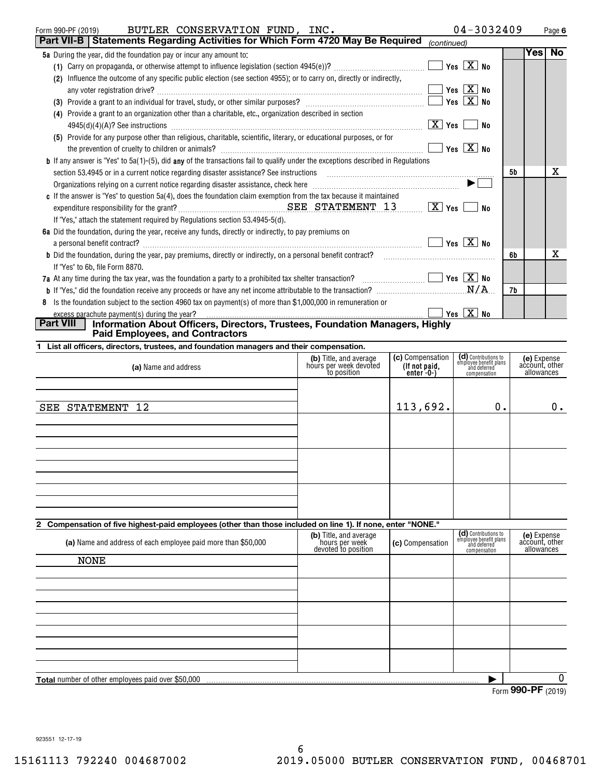| BUTLER CONSERVATION FUND, INC.<br>Form 990-PF (2019)                                                                                                                            | $04 - 3032409$     |    |            | Page 6    |
|---------------------------------------------------------------------------------------------------------------------------------------------------------------------------------|--------------------|----|------------|-----------|
| <b>Part VII-B   Statements Regarding Activities for Which Form 4720 May Be Required</b>                                                                                         | (continued)        |    |            |           |
| 5a During the year, did the foundation pay or incur any amount to:                                                                                                              |                    |    | <b>Yes</b> | <b>No</b> |
|                                                                                                                                                                                 | Yes $\boxed{X}$ No |    |            |           |
| Influence the outcome of any specific public election (see section 4955); or to carry on, directly or indirectly,<br>(2)                                                        |                    |    |            |           |
|                                                                                                                                                                                 | Yes $X$ No         |    |            |           |
| Provide a grant to an individual for travel, study, or other similar purposes? [111] [12] provide a grant to an individual for travel, study, or other similar purposes?<br>(3) | Yes $X$ No         |    |            |           |
| (4) Provide a grant to an organization other than a charitable, etc., organization described in section                                                                         |                    |    |            |           |
|                                                                                                                                                                                 | X   Yes<br>No.     |    |            |           |
| (5) Provide for any purpose other than religious, charitable, scientific, literary, or educational purposes, or for                                                             |                    |    |            |           |
|                                                                                                                                                                                 | Yes $X$ No         |    |            |           |
| <b>b</b> If any answer is "Yes" to 5a(1)-(5), did <b>any</b> of the transactions fail to qualify under the exceptions described in Regulations                                  |                    |    |            |           |
|                                                                                                                                                                                 |                    | 5b |            | x         |
|                                                                                                                                                                                 |                    |    |            |           |
| c If the answer is "Yes" to question $5a(4)$ , does the foundation claim exemption from the tax because it maintained                                                           |                    |    |            |           |
|                                                                                                                                                                                 | No                 |    |            |           |
| If "Yes," attach the statement required by Regulations section 53.4945-5(d).                                                                                                    |                    |    |            |           |
| 6a Did the foundation, during the year, receive any funds, directly or indirectly, to pay premiums on                                                                           |                    |    |            |           |
| a personal benefit contract?                                                                                                                                                    | Yes $X$ No         |    |            |           |
| <b>b</b> Did the foundation, during the year, pay premiums, directly or indirectly, on a personal benefit contract?                                                             |                    | 6b |            | x         |
| If "Yes" to 6b, file Form 8870.                                                                                                                                                 |                    |    |            |           |
| 7a At any time during the tax year, was the foundation a party to a prohibited tax shelter transaction? $\Box$ Thes $X$ No                                                      |                    |    |            |           |
|                                                                                                                                                                                 |                    | 7b |            |           |
| 8 Is the foundation subject to the section 4960 tax on payment(s) of more than \$1,000,000 in remuneration or                                                                   |                    |    |            |           |
| excess parachute payment(s) during the year?<br>  Part VIII<br>Information About Officers, Directors, Trustees, Foundation Managers, Highly                                     | Yes $X$ No         |    |            |           |
| <b>Paid Employees, and Contractors</b>                                                                                                                                          |                    |    |            |           |
|                                                                                                                                                                                 |                    |    |            |           |

| 1 List all officers, directors, trustees, and foundation managers and their compensation. |                                                                 |                                                 |                                                                                |                                             |
|-------------------------------------------------------------------------------------------|-----------------------------------------------------------------|-------------------------------------------------|--------------------------------------------------------------------------------|---------------------------------------------|
| (a) Name and address                                                                      | (b) Title, and average<br>hours per week devoted<br>to position | (c) Compensation<br>(If not paid,<br>enter -0-) | (d) Contributions to<br>employee benefit plans<br>and deferred<br>compensation | (e) Expense<br>account, other<br>allowances |
|                                                                                           |                                                                 |                                                 |                                                                                |                                             |
| SEE STATEMENT 12                                                                          |                                                                 | 113,692.                                        | 0.                                                                             | $0$ .                                       |
|                                                                                           |                                                                 |                                                 |                                                                                |                                             |
|                                                                                           |                                                                 |                                                 |                                                                                |                                             |
|                                                                                           |                                                                 |                                                 |                                                                                |                                             |
|                                                                                           |                                                                 |                                                 |                                                                                |                                             |

## **2 Compensation of five highest-paid employees (other than those included on line 1). If none, enter "NONE."**

| (a) Name and address of each employee paid more than \$50,000 | (b) Title, and average<br>hours per week<br>devoted to position | (c) Compensation | (d) Contributions to<br>employee benefit plans<br>and deferred<br>compensation | (e) Expense<br>account, other<br>allowances |  |  |  |  |
|---------------------------------------------------------------|-----------------------------------------------------------------|------------------|--------------------------------------------------------------------------------|---------------------------------------------|--|--|--|--|
| NONE                                                          |                                                                 |                  |                                                                                |                                             |  |  |  |  |
|                                                               |                                                                 |                  |                                                                                |                                             |  |  |  |  |
|                                                               |                                                                 |                  |                                                                                |                                             |  |  |  |  |
|                                                               |                                                                 |                  |                                                                                |                                             |  |  |  |  |
|                                                               |                                                                 |                  |                                                                                |                                             |  |  |  |  |
| <b>Total</b> number of other employees paid over \$50,000     |                                                                 |                  |                                                                                |                                             |  |  |  |  |
|                                                               | $000$ DE $(0010)$<br>$\mathbf{r}$ and $\mathbf{r}$              |                  |                                                                                |                                             |  |  |  |  |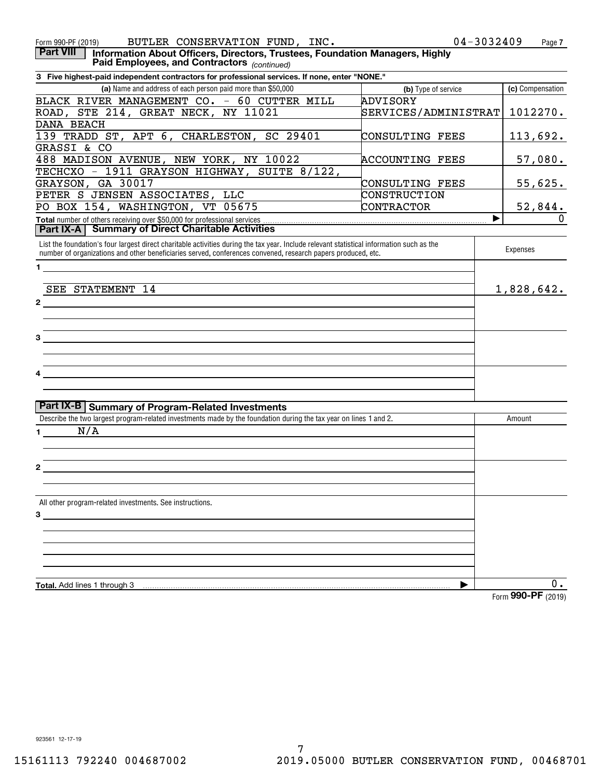| BUTLER CONSERVATION FUND, INC.<br>Form 990-PF (2019)                                                                                                                                                                                                      | 04-3032409                  | Page 7           |
|-----------------------------------------------------------------------------------------------------------------------------------------------------------------------------------------------------------------------------------------------------------|-----------------------------|------------------|
| <b>Part VIII</b><br>Information About Officers, Directors, Trustees, Foundation Managers, Highly<br>Paid Employees, and Contractors (continued)                                                                                                           |                             |                  |
| 3 Five highest-paid independent contractors for professional services. If none, enter "NONE."                                                                                                                                                             |                             |                  |
| (a) Name and address of each person paid more than \$50,000                                                                                                                                                                                               | (b) Type of service         | (c) Compensation |
| BLACK RIVER MANAGEMENT CO. - 60 CUTTER MILL                                                                                                                                                                                                               | ADVISORY                    |                  |
| ROAD, STE 214, GREAT NECK, NY 11021                                                                                                                                                                                                                       | <b>SERVICES/ADMINISTRAT</b> | 1012270.         |
| DANA BEACH                                                                                                                                                                                                                                                |                             |                  |
| 139 TRADD ST, APT 6, CHARLESTON, SC 29401                                                                                                                                                                                                                 | CONSULTING FEES             | <u> 113,692.</u> |
| GRASSI & CO                                                                                                                                                                                                                                               |                             |                  |
| 488 MADISON AVENUE, NEW YORK, NY 10022                                                                                                                                                                                                                    | <b>ACCOUNTING FEES</b>      | 57,080.          |
| TECHCXO - 1911 GRAYSON HIGHWAY, SUITE 8/122,                                                                                                                                                                                                              |                             |                  |
| GRAYSON, GA 30017                                                                                                                                                                                                                                         | CONSULTING FEES             | 55,625.          |
| PETER S JENSEN ASSOCIATES, LLC                                                                                                                                                                                                                            | CONSTRUCTION                |                  |
| PO BOX 154, WASHINGTON, VT 05675                                                                                                                                                                                                                          | CONTRACTOR                  | <u>52,844.</u>   |
|                                                                                                                                                                                                                                                           | ▶                           |                  |
| <b>Part IX-A   Summary of Direct Charitable Activities</b>                                                                                                                                                                                                |                             |                  |
| List the foundation's four largest direct charitable activities during the tax year. Include relevant statistical information such as the<br>number of organizations and other beneficiaries served, conferences convened, research papers produced, etc. |                             | Expenses         |
| $\mathbf 1$                                                                                                                                                                                                                                               |                             |                  |
|                                                                                                                                                                                                                                                           |                             |                  |
| SEE STATEMENT 14                                                                                                                                                                                                                                          |                             | 1,828,642.       |
| $\mathbf{2}$                                                                                                                                                                                                                                              |                             |                  |
|                                                                                                                                                                                                                                                           |                             |                  |
|                                                                                                                                                                                                                                                           |                             |                  |
| 3                                                                                                                                                                                                                                                         |                             |                  |
|                                                                                                                                                                                                                                                           |                             |                  |
|                                                                                                                                                                                                                                                           |                             |                  |
|                                                                                                                                                                                                                                                           |                             |                  |
|                                                                                                                                                                                                                                                           |                             |                  |
|                                                                                                                                                                                                                                                           |                             |                  |
| <b>Part IX-B   Summary of Program-Related Investments</b>                                                                                                                                                                                                 |                             |                  |
| Describe the two largest program-related investments made by the foundation during the tax year on lines 1 and 2.                                                                                                                                         |                             | Amount           |
| N/A<br>$\mathbf 1$                                                                                                                                                                                                                                        |                             |                  |
|                                                                                                                                                                                                                                                           |                             |                  |
|                                                                                                                                                                                                                                                           |                             |                  |
| 2                                                                                                                                                                                                                                                         |                             |                  |
|                                                                                                                                                                                                                                                           |                             |                  |
|                                                                                                                                                                                                                                                           |                             |                  |
| All other program-related investments. See instructions.                                                                                                                                                                                                  |                             |                  |
| $3^{\circ}$                                                                                                                                                                                                                                               |                             |                  |
|                                                                                                                                                                                                                                                           |                             |                  |
|                                                                                                                                                                                                                                                           |                             |                  |
|                                                                                                                                                                                                                                                           |                             |                  |
|                                                                                                                                                                                                                                                           |                             |                  |
|                                                                                                                                                                                                                                                           |                             |                  |
| Total. Add lines 1 through 3                                                                                                                                                                                                                              |                             | 0.               |

Form (2019) **990-PF**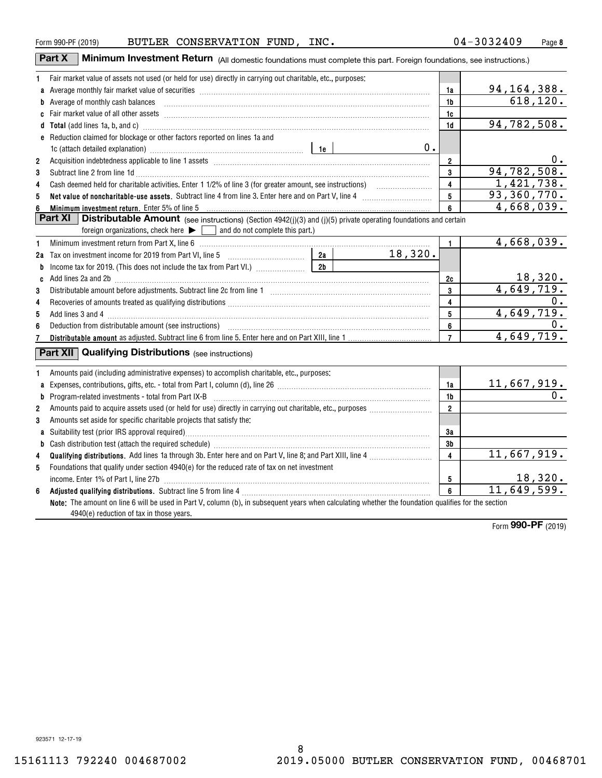|                | Part X<br><b>Minimum Investment Return</b> (All domestic foundations must complete this part. Foreign foundations, see instructions.)                                                                                          |    |                         |                          |
|----------------|--------------------------------------------------------------------------------------------------------------------------------------------------------------------------------------------------------------------------------|----|-------------------------|--------------------------|
| 1              | Fair market value of assets not used (or held for use) directly in carrying out charitable, etc., purposes:                                                                                                                    |    |                         |                          |
|                |                                                                                                                                                                                                                                |    | 1a                      | 94, 164, 388.            |
|                | b Average of monthly cash balances <b>constructed and all anoming construction</b> Average of monthly cash balances                                                                                                            |    | 1b                      | 618, 120.                |
|                |                                                                                                                                                                                                                                |    | 1c                      |                          |
|                | Total (add lines 1a, b, and c) manufactured and contract the contract of the contract of the contract of the contract of the contract of the contract of the contract of the contract of the contract of the contract of the c |    | 1 <sub>d</sub>          | 94,782,508.              |
|                | <b>e</b> Reduction claimed for blockage or other factors reported on lines 1a and                                                                                                                                              |    |                         |                          |
|                | 1c (attach detailed explanation) manufacture and the settlement of the settlement of the settlement of the set                                                                                                                 | 0. |                         |                          |
| $\overline{2}$ |                                                                                                                                                                                                                                |    | 2                       | 0.                       |
| 3              | Subtract line 2 from line 1d <b>Machinese and Contract Line 2</b> from line 1d <b>machinese and contract line 2</b> from line 1d                                                                                               |    | 3                       | 94,782,508.              |
| 4              |                                                                                                                                                                                                                                |    | 4                       | 1,421,738.               |
| 5              |                                                                                                                                                                                                                                |    | 5                       | 93,360,770.              |
| 6              | Minimum investment return. Enter 5% of line 5                                                                                                                                                                                  |    | 6                       | 4,668,039.               |
|                | Part XI<br>Distributable Amount (see instructions) (Section 4942(j)(3) and (j)(5) private operating foundations and certain                                                                                                    |    |                         |                          |
|                | $\overline{\phantom{a}}$ and do not complete this part.)<br>foreign organizations, check here $\blacktriangleright$ [                                                                                                          |    |                         |                          |
| 1              |                                                                                                                                                                                                                                |    | $\mathbf{1}$            | 4,668,039.               |
|                | 18,320.                                                                                                                                                                                                                        |    |                         |                          |
| b              | 2 <sub>b</sub>                                                                                                                                                                                                                 |    |                         |                          |
|                | c Add lines 2a and 2b [11] manufacture contract the contract of the contract of the contract of the contract of the contract of the contract of the contract of the contract of the contract of the contract of the contract o |    | 2c                      | 18,320.                  |
| 3              |                                                                                                                                                                                                                                |    | 3                       | 4,649,719.               |
| 4              |                                                                                                                                                                                                                                |    | 4                       | 0.                       |
| 5              |                                                                                                                                                                                                                                |    | 5                       | 4,649,719.               |
| 6              |                                                                                                                                                                                                                                |    | 6                       | $0$ .                    |
| 7              |                                                                                                                                                                                                                                |    | $\overline{7}$          | 4,649,719.               |
|                | <b>Part XII Qualifying Distributions</b> (see instructions)                                                                                                                                                                    |    |                         |                          |
| 1              | Amounts paid (including administrative expenses) to accomplish charitable, etc., purposes:                                                                                                                                     |    |                         |                          |
| a              |                                                                                                                                                                                                                                |    | 1a                      | $\frac{11,667,919.}{0.}$ |
| b              | Program-related investments - total from Part IX-B [11] [120] [120] [120] [120] [120] [120] [120] [120] [120] [120] [120] [120] [120] [120] [120] [120] [120] [120] [120] [120] [120] [120] [120] [120] [120] [120] [120] [120 |    | 1b                      |                          |
| $\overline{2}$ |                                                                                                                                                                                                                                |    | $\mathbf{2}$            |                          |
| 3              | Amounts set aside for specific charitable projects that satisfy the:                                                                                                                                                           |    |                         |                          |
|                |                                                                                                                                                                                                                                |    | 3a                      |                          |
| b              |                                                                                                                                                                                                                                |    | 3 <sub>b</sub>          |                          |
| 4              |                                                                                                                                                                                                                                |    | $\overline{\mathbf{4}}$ | 11,667,919.              |
| 5              | Foundations that qualify under section 4940(e) for the reduced rate of tax on net investment                                                                                                                                   |    |                         |                          |
|                |                                                                                                                                                                                                                                |    | 5                       | 18,320.                  |
| 6              |                                                                                                                                                                                                                                |    | $6\overline{6}$         | 11,649,599.              |
|                | Note: The amount on line 6 will be used in Part V, column (b), in subsequent years when calculating whether the foundation qualifies for the section<br>4940(e) reduction of tax in those years.                               |    |                         |                          |
|                |                                                                                                                                                                                                                                |    |                         | $\frac{1}{2}$            |

Form (2019) **990-PF**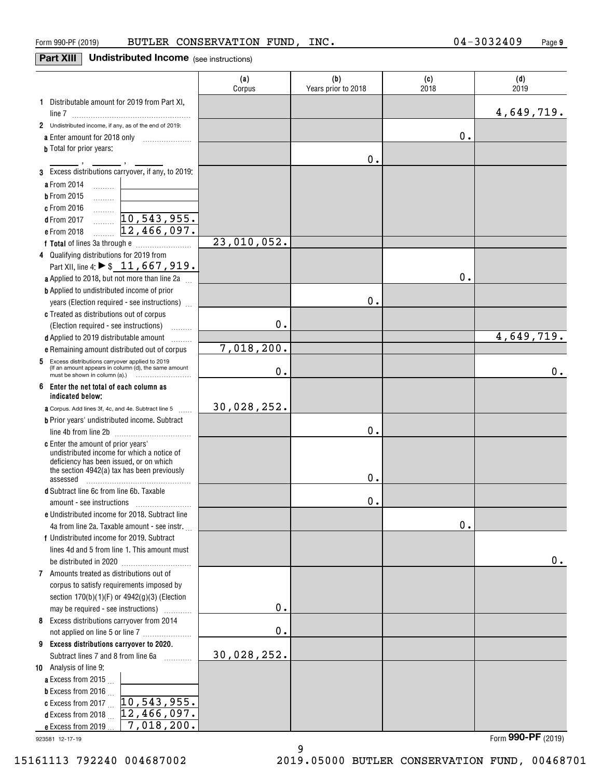## **Part XIII** Undistributed Income (see instructions)

|                                                                                                             | (a)<br>Corpus | (b)<br>Years prior to 2018 | (c)<br>2018 | (d)<br>2019 |
|-------------------------------------------------------------------------------------------------------------|---------------|----------------------------|-------------|-------------|
| 1 Distributable amount for 2019 from Part XI,                                                               |               |                            |             | 4,649,719.  |
| 2 Undistributed income, if any, as of the end of 2019:                                                      |               |                            |             |             |
| a Enter amount for 2018 only                                                                                |               |                            | 0.          |             |
| <b>b</b> Total for prior years:                                                                             |               |                            |             |             |
|                                                                                                             |               | 0.                         |             |             |
| 3 Excess distributions carryover, if any, to 2019:                                                          |               |                            |             |             |
| a From 2014<br>$\ldots \ldots \ldots$                                                                       |               |                            |             |             |
| <b>b</b> From 2015                                                                                          |               |                            |             |             |
| c From 2016                                                                                                 |               |                            |             |             |
| .<br>10,543,955.<br><b>d</b> From 2017                                                                      |               |                            |             |             |
| .<br>12,466,097.<br>e From 2018                                                                             |               |                            |             |             |
|                                                                                                             | 23,010,052.   |                            |             |             |
| 4 Qualifying distributions for 2019 from                                                                    |               |                            |             |             |
| Part XII, line 4: $\triangleright$ \$ 11, 667, 919.                                                         |               |                            |             |             |
| a Applied to 2018, but not more than line 2a                                                                |               |                            | $0$ .       |             |
| <b>b</b> Applied to undistributed income of prior                                                           |               |                            |             |             |
| years (Election required - see instructions)                                                                |               | 0.                         |             |             |
| c Treated as distributions out of corpus                                                                    |               |                            |             |             |
| (Election required - see instructions)                                                                      | 0.            |                            |             |             |
|                                                                                                             |               |                            |             | 4,649,719.  |
| d Applied to 2019 distributable amount<br>.<br>e Remaining amount distributed out of corpus                 | 7,018,200.    |                            |             |             |
|                                                                                                             |               |                            |             |             |
| Excess distributions carryover applied to 2019<br>5<br>(If an amount appears in column (d), the same amount | 0.            |                            |             | 0.          |
| 6<br>Enter the net total of each column as<br>indicated below:                                              |               |                            |             |             |
| <b>a</b> Corpus. Add lines 3f, 4c, and 4e. Subtract line 5                                                  | 30,028,252.   |                            |             |             |
| <b>b</b> Prior years' undistributed income. Subtract                                                        |               |                            |             |             |
|                                                                                                             |               | 0.                         |             |             |
| c Enter the amount of prior years'                                                                          |               |                            |             |             |
| undistributed income for which a notice of<br>deficiency has been issued, or on which                       |               |                            |             |             |
| the section 4942(a) tax has been previously                                                                 |               |                            |             |             |
| assessed                                                                                                    |               | Ο.                         |             |             |
| d Subtract line 6c from line 6b. Taxable                                                                    |               |                            |             |             |
|                                                                                                             |               | 0.                         |             |             |
| <b>e</b> Undistributed income for 2018. Subtract line                                                       |               |                            |             |             |
| 4a from line 2a. Taxable amount - see instr.                                                                |               |                            | $0$ .       |             |
| f Undistributed income for 2019. Subtract                                                                   |               |                            |             |             |
| lines 4d and 5 from line 1. This amount must                                                                |               |                            |             |             |
|                                                                                                             |               |                            |             | 0.          |
| 7 Amounts treated as distributions out of                                                                   |               |                            |             |             |
| corpus to satisfy requirements imposed by                                                                   |               |                            |             |             |
| section 170(b)(1)(F) or 4942(g)(3) (Election                                                                |               |                            |             |             |
| may be required - see instructions)                                                                         | 0.            |                            |             |             |
| 8 Excess distributions carryover from 2014                                                                  |               |                            |             |             |
|                                                                                                             | 0.            |                            |             |             |
| 9 Excess distributions carryover to 2020.                                                                   |               |                            |             |             |
| Subtract lines 7 and 8 from line 6a                                                                         | 30,028,252.   |                            |             |             |
| 10 Analysis of line 9:                                                                                      |               |                            |             |             |
| a Excess from 2015.                                                                                         |               |                            |             |             |
| <b>b</b> Excess from 2016 $\ldots$                                                                          |               |                            |             |             |
| 10, 543, 955.<br>c Excess from 2017 $\ldots$                                                                |               |                            |             |             |
| 12,466,097.<br><b>d</b> Excess from 2018 $\ldots$                                                           |               |                            |             |             |
| 7,018,200.<br>e Excess from 2019                                                                            |               |                            |             |             |

9

923581 12-17-19

Form (2019) **990-PF**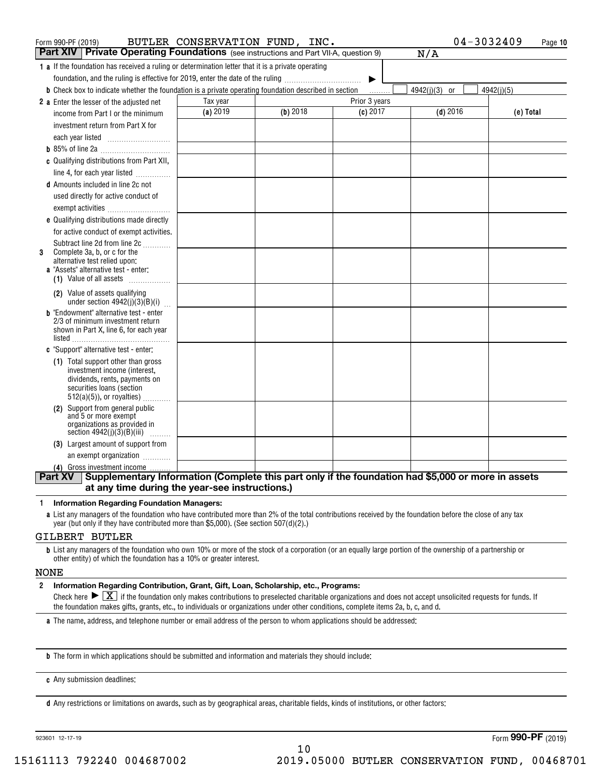| Form 990-PF (2019)                                                                                                   | BUTLER CONSERVATION FUND, INC. |            |               | 04-3032409    | Page 10    |
|----------------------------------------------------------------------------------------------------------------------|--------------------------------|------------|---------------|---------------|------------|
| <b>Part XIV</b> Private Operating Foundations (see instructions and Part VII-A, question 9)                          |                                |            |               | N/A           |            |
| 1 a If the foundation has received a ruling or determination letter that it is a private operating                   |                                |            |               |               |            |
| foundation, and the ruling is effective for 2019, enter the date of the ruling                                       |                                |            | ▶             |               |            |
| <b>b</b> Check box to indicate whether the foundation is a private operating foundation described in section         |                                |            |               | 4942(j)(3) or | 4942(j)(5) |
| 2 a Enter the lesser of the adjusted net                                                                             | Tax year                       |            | Prior 3 years |               |            |
| income from Part I or the minimum                                                                                    | (a) 2019                       | $(b)$ 2018 | (c) 2017      | $(d)$ 2016    | (e) Total  |
| investment return from Part X for                                                                                    |                                |            |               |               |            |
|                                                                                                                      |                                |            |               |               |            |
|                                                                                                                      |                                |            |               |               |            |
| c Qualifying distributions from Part XII,                                                                            |                                |            |               |               |            |
| line 4, for each year listed                                                                                         |                                |            |               |               |            |
| <b>d</b> Amounts included in line 2c not                                                                             |                                |            |               |               |            |
| used directly for active conduct of                                                                                  |                                |            |               |               |            |
| exempt activities                                                                                                    |                                |            |               |               |            |
| e Qualifying distributions made directly                                                                             |                                |            |               |               |            |
| for active conduct of exempt activities.                                                                             |                                |            |               |               |            |
| Subtract line 2d from line 2c                                                                                        |                                |            |               |               |            |
| Complete 3a, b, or c for the<br>3<br>alternative test relied upon:                                                   |                                |            |               |               |            |
| <b>a</b> "Assets" alternative test - enter:                                                                          |                                |            |               |               |            |
| (1) Value of all assets $\ldots$                                                                                     |                                |            |               |               |            |
| (2) Value of assets qualifying                                                                                       |                                |            |               |               |            |
| under section $4942(j)(3)(B)(i)$<br><b>b</b> "Endowment" alternative test - enter                                    |                                |            |               |               |            |
| 2/3 of minimum investment return                                                                                     |                                |            |               |               |            |
| shown in Part X, line 6, for each year                                                                               |                                |            |               |               |            |
| listed                                                                                                               |                                |            |               |               |            |
| c "Support" alternative test - enter:                                                                                |                                |            |               |               |            |
| (1) Total support other than gross<br>investment income (interest,                                                   |                                |            |               |               |            |
| dividends, rents, payments on                                                                                        |                                |            |               |               |            |
| securities loans (section                                                                                            |                                |            |               |               |            |
| $512(a)(5)$ , or royalties)<br>(2) Support from general public                                                       |                                |            |               |               |            |
| and 5 or more exempt                                                                                                 |                                |            |               |               |            |
| organizations as provided in                                                                                         |                                |            |               |               |            |
| section $4942(j)(3)(B)(iii)$<br>.<br>(3) Largest amount of support from                                              |                                |            |               |               |            |
| an exempt organization                                                                                               |                                |            |               |               |            |
| (4) Gross investment income                                                                                          |                                |            |               |               |            |
| Supplementary Information (Complete this part only if the foundation had \$5,000 or more in assets<br><b>Part XV</b> |                                |            |               |               |            |
| at any time during the year-see instructions.)                                                                       |                                |            |               |               |            |

#### **1Information Regarding Foundation Managers:**

**a**List any managers of the foundation who have contributed more than 2% of the total contributions received by the foundation before the close of any tax year (but only if they have contributed more than \$5,000). (See section 507(d)(2).)

#### GILBERT BUTLER

**b**List any managers of the foundation who own 10% or more of the stock of a corporation (or an equally large portion of the ownership of a partnership or other entity) of which the foundation has a 10% or greater interest.

#### NONE

#### **2Information Regarding Contribution, Grant, Gift, Loan, Scholarship, etc., Programs:**

Check here  $\blacktriangleright\boxed{\textbf{X}}$  if the foundation only makes contributions to preselected charitable organizations and does not accept unsolicited requests for funds. If the foundation makes gifts, grants, etc., to individuals or organizations under other conditions, complete items 2a, b, c, and d.

**a**The name, address, and telephone number or email address of the person to whom applications should be addressed:

**b**The form in which applications should be submitted and information and materials they should include:

**c**Any submission deadlines:

**d** Any restrictions or limitations on awards, such as by geographical areas, charitable fields, kinds of institutions, or other factors: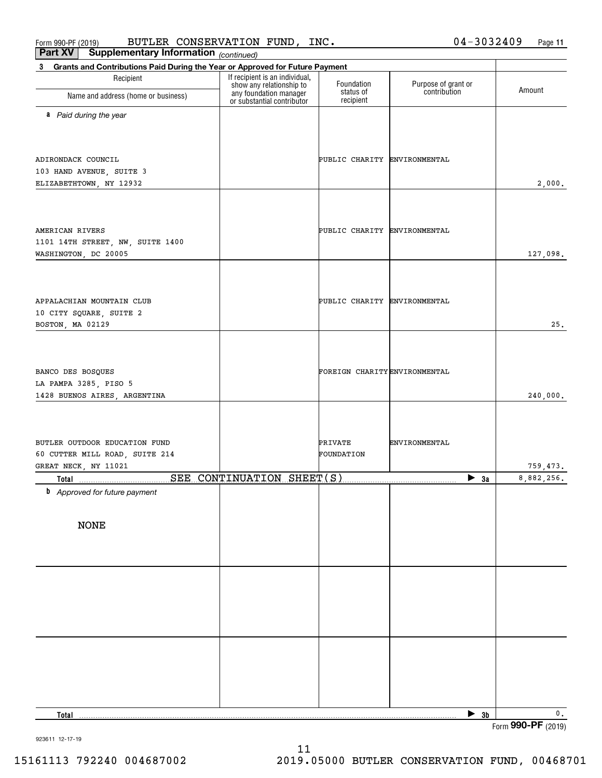Form 990-PF (2019) BUTLER CONSERVATION FUND, INC.  $04-3032409$  Page BUTLER CONSERVATION FUND, INC. 04-3032409

**11**

| Part XV<br><b>Supplementary Information</b> (continued)                                     |                                                            |                               |                                     |               |
|---------------------------------------------------------------------------------------------|------------------------------------------------------------|-------------------------------|-------------------------------------|---------------|
| Grants and Contributions Paid During the Year or Approved for Future Payment<br>$3^{\circ}$ |                                                            |                               |                                     |               |
| Recipient                                                                                   | If recipient is an individual,<br>show any relationship to | Foundation<br>status of       | Purpose of grant or<br>contribution | Amount        |
| Name and address (home or business)                                                         | any foundation manager<br>or substantial contributor       | recipient                     |                                     |               |
| a Paid during the year                                                                      |                                                            |                               |                                     |               |
|                                                                                             |                                                            |                               |                                     |               |
|                                                                                             |                                                            |                               |                                     |               |
| ADIRONDACK COUNCIL                                                                          |                                                            | PUBLIC CHARITY ENVIRONMENTAL  |                                     |               |
| 103 HAND AVENUE, SUITE 3                                                                    |                                                            |                               |                                     |               |
| ELIZABETHTOWN, NY 12932                                                                     |                                                            |                               |                                     | 2,000.        |
|                                                                                             |                                                            |                               |                                     |               |
|                                                                                             |                                                            |                               |                                     |               |
| AMERICAN RIVERS                                                                             |                                                            | PUBLIC CHARITY ENVIRONMENTAL  |                                     |               |
| 1101 14TH STREET, NW, SUITE 1400                                                            |                                                            |                               |                                     |               |
| WASHINGTON, DC 20005                                                                        |                                                            |                               |                                     | 127,098.      |
|                                                                                             |                                                            |                               |                                     |               |
|                                                                                             |                                                            |                               |                                     |               |
| APPALACHIAN MOUNTAIN CLUB                                                                   |                                                            | PUBLIC CHARITY ENVIRONMENTAL  |                                     |               |
| 10 CITY SQUARE, SUITE 2                                                                     |                                                            |                               |                                     |               |
| BOSTON, MA 02129                                                                            |                                                            |                               |                                     | 25.           |
|                                                                                             |                                                            |                               |                                     |               |
|                                                                                             |                                                            |                               |                                     |               |
| BANCO DES BOSQUES                                                                           |                                                            | FOREIGN CHARITY ENVIRONMENTAL |                                     |               |
| LA PAMPA 3285, PISO 5<br>1428 BUENOS AIRES, ARGENTINA                                       |                                                            |                               |                                     | 240,000.      |
|                                                                                             |                                                            |                               |                                     |               |
|                                                                                             |                                                            |                               |                                     |               |
|                                                                                             |                                                            |                               |                                     |               |
| BUTLER OUTDOOR EDUCATION FUND<br>60 CUTTER MILL ROAD, SUITE 214                             |                                                            | PRIVATE<br>FOUNDATION         | ENVIRONMENTAL                       |               |
| GREAT NECK, NY 11021                                                                        |                                                            |                               |                                     | 759,473.      |
|                                                                                             |                                                            |                               | $\blacktriangleright$ 3a            | 8,882,256.    |
| <b>b</b> Approved for future payment                                                        |                                                            |                               |                                     |               |
|                                                                                             |                                                            |                               |                                     |               |
| <b>NONE</b>                                                                                 |                                                            |                               |                                     |               |
|                                                                                             |                                                            |                               |                                     |               |
|                                                                                             |                                                            |                               |                                     |               |
|                                                                                             |                                                            |                               |                                     |               |
|                                                                                             |                                                            |                               |                                     |               |
|                                                                                             |                                                            |                               |                                     |               |
|                                                                                             |                                                            |                               |                                     |               |
|                                                                                             |                                                            |                               |                                     |               |
|                                                                                             |                                                            |                               |                                     |               |
|                                                                                             |                                                            |                               |                                     |               |
|                                                                                             |                                                            |                               |                                     |               |
|                                                                                             |                                                            |                               |                                     |               |
|                                                                                             |                                                            |                               |                                     |               |
| Total                                                                                       |                                                            |                               | $\triangleright$ 3b                 | $\mathbf 0$ . |

Form (2019) **990-PF**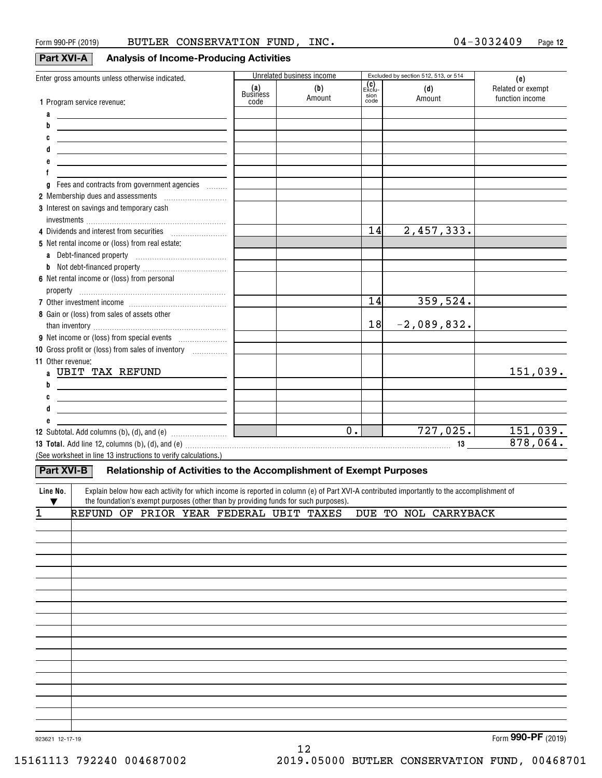## **Part XVI-A Analysis of Income-Producing Activities**

| Enter gross amounts unless otherwise indicated.                                                                                                                                                                               |                 | Unrelated business income |               | Excluded by section 512, 513, or 514 | (e)               |
|-------------------------------------------------------------------------------------------------------------------------------------------------------------------------------------------------------------------------------|-----------------|---------------------------|---------------|--------------------------------------|-------------------|
|                                                                                                                                                                                                                               | (a)<br>Business | (b)                       | (C)<br>Exclu- | (d)                                  | Related or exempt |
| 1 Program service revenue:                                                                                                                                                                                                    | code            | Amount                    | sion<br>code  | Amount                               | function income   |
| a                                                                                                                                                                                                                             |                 |                           |               |                                      |                   |
| b                                                                                                                                                                                                                             |                 |                           |               |                                      |                   |
| C<br><u> 1989 - Johann Barn, mars et al. 1989 - Anna ann an t-Anna ann an t-Anna ann an t-Anna ann an t-Anna ann an t-</u>                                                                                                    |                 |                           |               |                                      |                   |
| d<br><u> 1989 - Johann Barn, fransk politik amerikansk politik (</u>                                                                                                                                                          |                 |                           |               |                                      |                   |
| <u> 1989 - Johann Stein, marwolaethau a bhann an t-Amhainn an t-Amhainn an t-Amhainn an t-Amhainn an t-Amhainn a</u>                                                                                                          |                 |                           |               |                                      |                   |
| f                                                                                                                                                                                                                             |                 |                           |               |                                      |                   |
| g Fees and contracts from government agencies                                                                                                                                                                                 |                 |                           |               |                                      |                   |
| 2 Membership dues and assessments [111] Membership dues and assessments                                                                                                                                                       |                 |                           |               |                                      |                   |
| 3 Interest on savings and temporary cash                                                                                                                                                                                      |                 |                           |               |                                      |                   |
|                                                                                                                                                                                                                               |                 |                           |               |                                      |                   |
|                                                                                                                                                                                                                               |                 |                           | 14            | 2,457,333.                           |                   |
| 5 Net rental income or (loss) from real estate:                                                                                                                                                                               |                 |                           |               |                                      |                   |
|                                                                                                                                                                                                                               |                 |                           |               |                                      |                   |
|                                                                                                                                                                                                                               |                 |                           |               |                                      |                   |
| 6 Net rental income or (loss) from personal                                                                                                                                                                                   |                 |                           |               |                                      |                   |
|                                                                                                                                                                                                                               |                 |                           |               |                                      |                   |
|                                                                                                                                                                                                                               |                 |                           | 14            | 359,524.                             |                   |
| 8 Gain or (loss) from sales of assets other                                                                                                                                                                                   |                 |                           |               |                                      |                   |
|                                                                                                                                                                                                                               |                 |                           | 18            | $-2,089,832.$                        |                   |
|                                                                                                                                                                                                                               |                 |                           |               |                                      |                   |
| 10 Gross profit or (loss) from sales of inventory                                                                                                                                                                             |                 |                           |               |                                      |                   |
| 11 Other revenue:                                                                                                                                                                                                             |                 |                           |               |                                      |                   |
| a UBIT TAX REFUND                                                                                                                                                                                                             |                 |                           |               |                                      | 151,039.          |
| b<br><u> 1989 - Johann Barn, fransk politik amerikansk politik (</u>                                                                                                                                                          |                 |                           |               |                                      |                   |
| C<br><u> 1989 - Johann Stoff, fransk politik (d. 1989)</u>                                                                                                                                                                    |                 |                           |               |                                      |                   |
| d<br>the control of the control of the control of the control of the control of                                                                                                                                               |                 |                           |               |                                      |                   |
| e                                                                                                                                                                                                                             |                 |                           |               |                                      |                   |
|                                                                                                                                                                                                                               |                 | $\overline{0}$ .          |               | $\overline{727,025.}$ 151,039.       |                   |
| 13 Total. Add line 12, columns (b), (d), and (e) material contracts and contract the contract of the contract of the contract of the contract of the contract of the contract of the contract of the contract of the contract |                 |                           |               |                                      | 878,064.          |
| (See worksheet in line 13 instructions to verify calculations.)                                                                                                                                                               |                 |                           |               |                                      |                   |
| Relationship of Activities to the Accomplishment of Exempt Purposes<br>Part XVI-B                                                                                                                                             |                 |                           |               |                                      |                   |
| Explain below how each activity for which income is reported in column (e) of Part XVI-A contributed importantly to the accomplishment of<br>Line No.                                                                         |                 |                           |               |                                      |                   |
| the foundation's exempt purposes (other than by providing funds for such purposes).                                                                                                                                           |                 |                           |               |                                      |                   |
| REFUND OF PRIOR YEAR FEDERAL UBIT TAXES DUE TO NOL CARRYBACK                                                                                                                                                                  |                 |                           |               |                                      |                   |

| ÷. |  |  |  |  |  | the one of film form formula optimized for to non changement |          |
|----|--|--|--|--|--|--------------------------------------------------------------|----------|
|    |  |  |  |  |  |                                                              |          |
|    |  |  |  |  |  |                                                              |          |
|    |  |  |  |  |  |                                                              |          |
|    |  |  |  |  |  |                                                              |          |
|    |  |  |  |  |  |                                                              |          |
|    |  |  |  |  |  |                                                              |          |
|    |  |  |  |  |  |                                                              |          |
|    |  |  |  |  |  |                                                              |          |
|    |  |  |  |  |  |                                                              |          |
|    |  |  |  |  |  |                                                              |          |
|    |  |  |  |  |  |                                                              |          |
|    |  |  |  |  |  |                                                              |          |
|    |  |  |  |  |  |                                                              |          |
|    |  |  |  |  |  |                                                              |          |
|    |  |  |  |  |  |                                                              |          |
|    |  |  |  |  |  |                                                              |          |
|    |  |  |  |  |  |                                                              |          |
|    |  |  |  |  |  |                                                              |          |
|    |  |  |  |  |  |                                                              | $\cdots$ |

12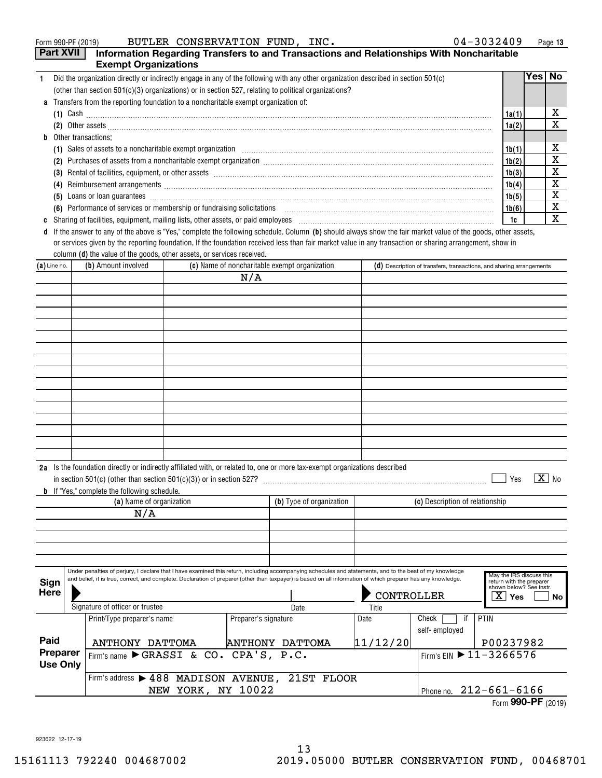|    | BUTLER CONSERVATION FUND, INC.<br>Form 990-PF (2019)                                                                                                                                                                                                                                                                                    | $04 - 3032409$ |        | Page 13 |
|----|-----------------------------------------------------------------------------------------------------------------------------------------------------------------------------------------------------------------------------------------------------------------------------------------------------------------------------------------|----------------|--------|---------|
|    | <b>Part XVII</b><br>Information Regarding Transfers to and Transactions and Relationships With Noncharitable                                                                                                                                                                                                                            |                |        |         |
|    | <b>Exempt Organizations</b>                                                                                                                                                                                                                                                                                                             |                |        |         |
|    | Did the organization directly or indirectly engage in any of the following with any other organization described in section 501(c)                                                                                                                                                                                                      |                | Yes⊺No |         |
|    | (other than section $501(c)(3)$ organizations) or in section 527, relating to political organizations?                                                                                                                                                                                                                                  |                |        |         |
|    | <b>a</b> Transfers from the reporting foundation to a noncharitable exempt organization of:                                                                                                                                                                                                                                             |                |        |         |
|    | (1) Cash $\ldots$ $\ldots$ $\ldots$ $\ldots$ $\ldots$ $\ldots$ $\ldots$ $\ldots$ $\ldots$ $\ldots$ $\ldots$ $\ldots$ $\ldots$ $\ldots$ $\ldots$ $\ldots$ $\ldots$ $\ldots$ $\ldots$ $\ldots$ $\ldots$ $\ldots$ $\ldots$ $\ldots$ $\ldots$ $\ldots$ $\ldots$ $\ldots$ $\ldots$ $\ldots$ $\ldots$ $\ldots$ $\ldots$ $\ldots$ $\ldots$ $\$ | 1a(1)          |        | х       |
|    | (2) Other assets <b>construction and the construction of the construction</b> and construction of the construction of the construction of the construction of the construction of the construction of the construction of the const                                                                                                     | 1a(2)          |        | X       |
| h. | Other transactions:                                                                                                                                                                                                                                                                                                                     |                |        |         |
|    |                                                                                                                                                                                                                                                                                                                                         | 1b(1)          |        | х       |
|    | Purchases of assets from a noncharitable exempt organization [11] manufacture manufacture of assets from a noncharitable exempt organization [11] manufacture manufacture of assets from a noncharitable exempt organization [<br>(2)                                                                                                   | 1b(2)          |        | X       |
|    | Rental of facilities, equipment, or other assets encourance and contain an according to the assets and a set of the assets and a set of the set of the set of the set of the set of the set of the set of the set of the set o<br>(3)                                                                                                   | 1b(3)          |        | х       |
|    | (4)                                                                                                                                                                                                                                                                                                                                     | 1b(4)          |        | X       |
|    | (5)                                                                                                                                                                                                                                                                                                                                     | 1b(5)          |        | х       |
|    | (6) Performance of services or membership or fundraising solicitations                                                                                                                                                                                                                                                                  | 1b(6)          |        | X       |
|    | Sharing of facilities, equipment, mailing lists, other assets, or paid employees                                                                                                                                                                                                                                                        | 1c             |        | х       |

**d** If the answer to any of the above is "Yes," complete the following schedule. Column (b) should always show the fair market value of the goods, other assets, column **(d)** the value of the goods, other assets, or services received. or services given by the reporting foundation. If the foundation received less than fair market value in any transaction or sharing arrangement, show in

| $(a)$ Line no.              | (b) Amount involved                                                                                                                                                                                                                                                                                                       | (c) Name of noncharitable exempt organization |                      |                          |  | (d) Description of transfers, transactions, and sharing arrangements |                                 |                                                                                 |
|-----------------------------|---------------------------------------------------------------------------------------------------------------------------------------------------------------------------------------------------------------------------------------------------------------------------------------------------------------------------|-----------------------------------------------|----------------------|--------------------------|--|----------------------------------------------------------------------|---------------------------------|---------------------------------------------------------------------------------|
|                             |                                                                                                                                                                                                                                                                                                                           |                                               | N/A                  |                          |  |                                                                      |                                 |                                                                                 |
|                             |                                                                                                                                                                                                                                                                                                                           |                                               |                      |                          |  |                                                                      |                                 |                                                                                 |
|                             |                                                                                                                                                                                                                                                                                                                           |                                               |                      |                          |  |                                                                      |                                 |                                                                                 |
|                             |                                                                                                                                                                                                                                                                                                                           |                                               |                      |                          |  |                                                                      |                                 |                                                                                 |
|                             |                                                                                                                                                                                                                                                                                                                           |                                               |                      |                          |  |                                                                      |                                 |                                                                                 |
|                             |                                                                                                                                                                                                                                                                                                                           |                                               |                      |                          |  |                                                                      |                                 |                                                                                 |
|                             |                                                                                                                                                                                                                                                                                                                           |                                               |                      |                          |  |                                                                      |                                 |                                                                                 |
|                             |                                                                                                                                                                                                                                                                                                                           |                                               |                      |                          |  |                                                                      |                                 |                                                                                 |
|                             |                                                                                                                                                                                                                                                                                                                           |                                               |                      |                          |  |                                                                      |                                 |                                                                                 |
|                             |                                                                                                                                                                                                                                                                                                                           |                                               |                      |                          |  |                                                                      |                                 |                                                                                 |
|                             |                                                                                                                                                                                                                                                                                                                           |                                               |                      |                          |  |                                                                      |                                 |                                                                                 |
|                             |                                                                                                                                                                                                                                                                                                                           |                                               |                      |                          |  |                                                                      |                                 |                                                                                 |
|                             |                                                                                                                                                                                                                                                                                                                           |                                               |                      |                          |  |                                                                      |                                 |                                                                                 |
|                             |                                                                                                                                                                                                                                                                                                                           |                                               |                      |                          |  |                                                                      |                                 |                                                                                 |
|                             | 2a Is the foundation directly or indirectly affiliated with, or related to, one or more tax-exempt organizations described<br><b>b</b> If "Yes," complete the following schedule.<br>(a) Name of organization                                                                                                             |                                               |                      | (b) Type of organization |  |                                                                      | (c) Description of relationship | $\boxed{\text{X}}$ No<br>Yes                                                    |
|                             | N/A                                                                                                                                                                                                                                                                                                                       |                                               |                      |                          |  |                                                                      |                                 |                                                                                 |
|                             |                                                                                                                                                                                                                                                                                                                           |                                               |                      |                          |  |                                                                      |                                 |                                                                                 |
|                             |                                                                                                                                                                                                                                                                                                                           |                                               |                      |                          |  |                                                                      |                                 |                                                                                 |
|                             |                                                                                                                                                                                                                                                                                                                           |                                               |                      |                          |  |                                                                      |                                 |                                                                                 |
|                             |                                                                                                                                                                                                                                                                                                                           |                                               |                      |                          |  |                                                                      |                                 |                                                                                 |
| Sign                        | Under penalties of perjury, I declare that I have examined this return, including accompanying schedules and statements, and to the best of my knowledge<br>and belief, it is true, correct, and complete. Declaration of preparer (other than taxpayer) is based on all information of which preparer has any knowledge. |                                               |                      |                          |  |                                                                      |                                 | May the IRS discuss this<br>return with the preparer<br>shown below? See instr. |
| <b>Here</b>                 |                                                                                                                                                                                                                                                                                                                           |                                               |                      |                          |  | CONTROLLER                                                           |                                 | xι<br>Yes<br>No                                                                 |
|                             | Signature of officer or trustee                                                                                                                                                                                                                                                                                           |                                               |                      | Date                     |  | Title                                                                | Check<br>if                     | PTIN                                                                            |
|                             | Print/Type preparer's name                                                                                                                                                                                                                                                                                                |                                               | Preparer's signature |                          |  | Date                                                                 | self-employed                   |                                                                                 |
| Paid                        | ANTHONY DATTOMA                                                                                                                                                                                                                                                                                                           |                                               |                      | <b>ANTHONY DATTOMA</b>   |  | 11/12/20                                                             |                                 | P00237982                                                                       |
| Preparer<br><b>Use Only</b> | Firm's name CRASSI & CO. CPA'S, P.C.                                                                                                                                                                                                                                                                                      |                                               |                      |                          |  |                                                                      |                                 | Firm's EIN 11-3266576                                                           |
|                             | Firm's address > 488 MADISON AVENUE, 21ST FLOOR                                                                                                                                                                                                                                                                           |                                               |                      |                          |  |                                                                      |                                 |                                                                                 |

NEW YORK, NY 10022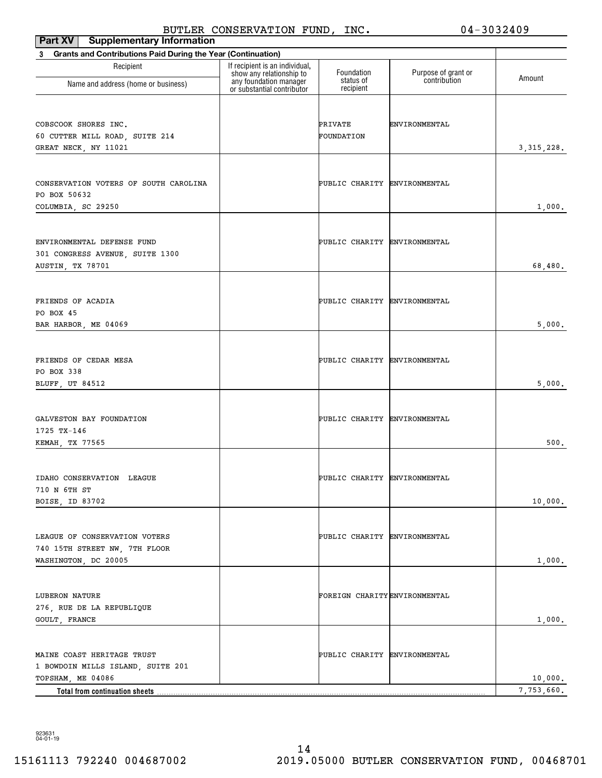| <b>Supplementary Information</b><br>Part XV                              | DOIDER CONDERVAIION FOND,                                  | ᆂᅒᇰᆥ                          | ◡≖                  | しししムモいつ               |
|--------------------------------------------------------------------------|------------------------------------------------------------|-------------------------------|---------------------|-----------------------|
| <b>Grants and Contributions Paid During the Year (Continuation)</b><br>3 |                                                            |                               |                     |                       |
| Recipient                                                                | If recipient is an individual,<br>show any relationship to | Foundation                    | Purpose of grant or | Amount                |
| Name and address (home or business)                                      | any foundation manager<br>or substantial contributor       | status of<br>recipient        | contribution        |                       |
| COBSCOOK SHORES INC.                                                     |                                                            | PRIVATE                       | ENVIRONMENTAL       |                       |
| 60 CUTTER MILL ROAD, SUITE 214                                           |                                                            | FOUNDATION                    |                     |                       |
| GREAT NECK, NY 11021                                                     |                                                            |                               |                     | 3, 315, 228.          |
| CONSERVATION VOTERS OF SOUTH CAROLINA                                    |                                                            | PUBLIC CHARITY ENVIRONMENTAL  |                     |                       |
| PO BOX 50632<br>COLUMBIA, SC 29250                                       |                                                            |                               |                     | 1,000.                |
|                                                                          |                                                            |                               |                     |                       |
| ENVIRONMENTAL DEFENSE FUND                                               |                                                            | PUBLIC CHARITY ENVIRONMENTAL  |                     |                       |
| 301 CONGRESS AVENUE, SUITE 1300<br>AUSTIN, TX 78701                      |                                                            |                               |                     | 68,480.               |
|                                                                          |                                                            |                               |                     |                       |
| FRIENDS OF ACADIA                                                        |                                                            | PUBLIC CHARITY ENVIRONMENTAL  |                     |                       |
| PO BOX 45<br>BAR HARBOR, ME 04069                                        |                                                            |                               |                     | 5,000.                |
|                                                                          |                                                            |                               |                     |                       |
| FRIENDS OF CEDAR MESA<br>PO BOX 338                                      |                                                            | PUBLIC CHARITY ENVIRONMENTAL  |                     |                       |
| BLUFF, UT 84512                                                          |                                                            |                               |                     | 5,000.                |
|                                                                          |                                                            |                               |                     |                       |
| GALVESTON BAY FOUNDATION<br>1725 TX-146                                  |                                                            | PUBLIC CHARITY ENVIRONMENTAL  |                     |                       |
| KEMAH, TX 77565                                                          |                                                            |                               |                     | 500.                  |
|                                                                          |                                                            |                               |                     |                       |
| IDAHO CONSERVATION LEAGUE<br>710 N 6TH ST                                |                                                            | PUBLIC CHARITY ENVIRONMENTAL  |                     |                       |
| BOISE, ID 83702                                                          |                                                            |                               |                     | 10,000.               |
|                                                                          |                                                            |                               |                     |                       |
| LEAGUE OF CONSERVATION VOTERS<br>740 15TH STREET NW, 7TH FLOOR           |                                                            | PUBLIC CHARITY ENVIRONMENTAL  |                     |                       |
| WASHINGTON, DC 20005                                                     |                                                            |                               |                     | 1,000.                |
|                                                                          |                                                            | FOREIGN CHARITY ENVIRONMENTAL |                     |                       |
| LUBERON NATURE<br>276, RUE DE LA REPUBLIQUE                              |                                                            |                               |                     |                       |
| GOULT, FRANCE                                                            |                                                            |                               |                     | 1,000.                |
| MAINE COAST HERITAGE TRUST                                               |                                                            | PUBLIC CHARITY ENVIRONMENTAL  |                     |                       |
| 1 BOWDOIN MILLS ISLAND, SUITE 201                                        |                                                            |                               |                     |                       |
| TOPSHAM, ME 04086<br>Total from continuation sheets                      |                                                            |                               |                     | 10,000.<br>7,753,660. |

923631 04-01-19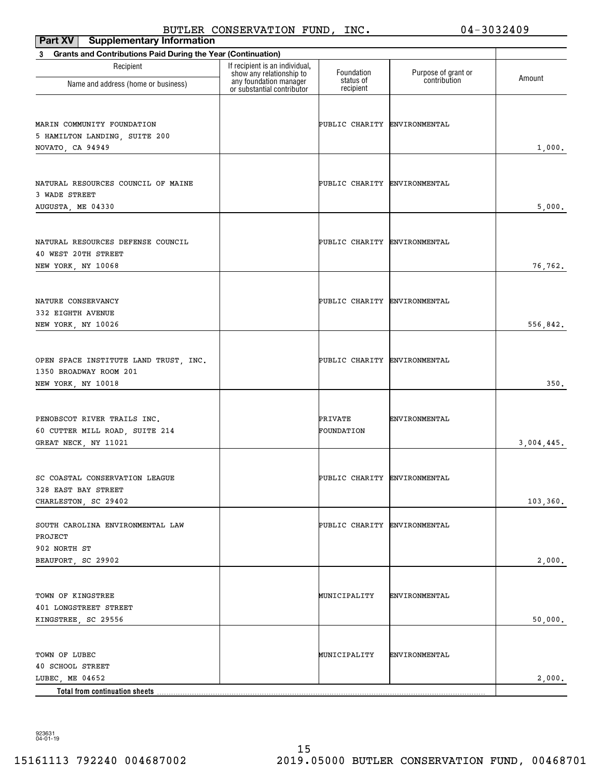| Part XV<br><b>Supplementary Information</b>                                            |                                                                                                                    |                                      |                                     |            |
|----------------------------------------------------------------------------------------|--------------------------------------------------------------------------------------------------------------------|--------------------------------------|-------------------------------------|------------|
| Grants and Contributions Paid During the Year (Continuation)<br>3                      |                                                                                                                    |                                      |                                     |            |
| Recipient<br>Name and address (home or business)                                       | If recipient is an individual,<br>show any relationship to<br>any foundation manager<br>or substantial contributor | Foundation<br>status of<br>recipient | Purpose of grant or<br>contribution | Amount     |
| MARIN COMMUNITY FOUNDATION<br>5 HAMILTON LANDING, SUITE 200<br>NOVATO, CA 94949        |                                                                                                                    | PUBLIC CHARITY ENVIRONMENTAL         |                                     | 1,000.     |
| NATURAL RESOURCES COUNCIL OF MAINE<br>3 WADE STREET<br>AUGUSTA, ME 04330               |                                                                                                                    | PUBLIC CHARITY ENVIRONMENTAL         |                                     | 5,000.     |
| NATURAL RESOURCES DEFENSE COUNCIL<br>40 WEST 20TH STREET<br>NEW YORK, NY 10068         |                                                                                                                    | PUBLIC CHARITY ENVIRONMENTAL         |                                     | 76,762.    |
| NATURE CONSERVANCY<br>332 EIGHTH AVENUE<br>NEW YORK, NY 10026                          |                                                                                                                    | PUBLIC CHARITY ENVIRONMENTAL         |                                     | 556,842.   |
| OPEN SPACE INSTITUTE LAND TRUST, INC.<br>1350 BROADWAY ROOM 201<br>NEW YORK, NY 10018  |                                                                                                                    | PUBLIC CHARITY ENVIRONMENTAL         |                                     | 350.       |
| PENOBSCOT RIVER TRAILS INC.<br>60 CUTTER MILL ROAD, SUITE 214<br>GREAT NECK, NY 11021  |                                                                                                                    | PRIVATE<br>FOUNDATION                | ENVIRONMENTAL                       | 3,004,445. |
| SC COASTAL CONSERVATION LEAGUE<br>328 EAST BAY STREET<br>CHARLESTON, SC 29402          |                                                                                                                    | PUBLIC CHARITY ENVIRONMENTAL         |                                     | 103,360.   |
| SOUTH CAROLINA ENVIRONMENTAL LAW<br>PROJECT<br>902 NORTH ST<br>BEAUFORT, SC 29902      |                                                                                                                    | PUBLIC CHARITY ENVIRONMENTAL         |                                     | 2,000.     |
| TOWN OF KINGSTREE<br>401 LONGSTREET STREET<br>KINGSTREE, SC 29556                      |                                                                                                                    | MUNICIPALITY                         | <b>ENVIRONMENTAL</b>                | 50,000.    |
| TOWN OF LUBEC<br>40 SCHOOL STREET<br>LUBEC, ME 04652<br>Total from continuation sheets |                                                                                                                    | MUNICIPALITY                         | ENVIRONMENTAL                       | 2,000.     |

923631 04-01-19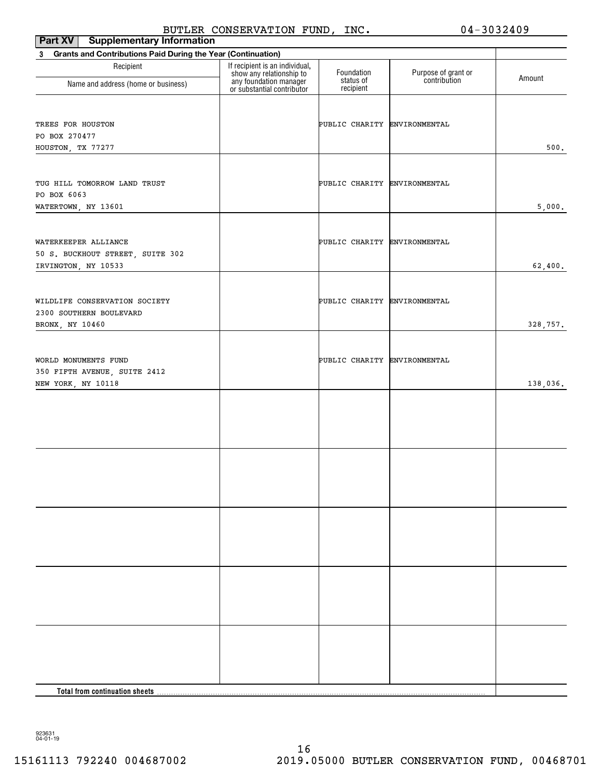| Part XV<br><b>Supplementary Information</b>                                        |                                                                                                                    |                              |                                     |          |
|------------------------------------------------------------------------------------|--------------------------------------------------------------------------------------------------------------------|------------------------------|-------------------------------------|----------|
| <b>Grants and Contributions Paid During the Year (Continuation)</b><br>$3^{\circ}$ |                                                                                                                    |                              |                                     |          |
| Recipient                                                                          | If recipient is an individual,<br>show any relationship to<br>any foundation manager<br>or substantial contributor | Foundation<br>status of      | Purpose of grant or<br>contribution | Amount   |
| Name and address (home or business)                                                |                                                                                                                    | recipient                    |                                     |          |
| TREES FOR HOUSTON<br>PO BOX 270477<br>HOUSTON, TX 77277                            |                                                                                                                    | PUBLIC CHARITY ENVIRONMENTAL |                                     | 500.     |
| TUG HILL TOMORROW LAND TRUST<br>PO BOX 6063<br>WATERTOWN, NY 13601                 |                                                                                                                    | PUBLIC CHARITY ENVIRONMENTAL |                                     | 5,000.   |
| WATERKEEPER ALLIANCE<br>50 S. BUCKHOUT STREET, SUITE 302<br>IRVINGTON, NY 10533    |                                                                                                                    | PUBLIC CHARITY ENVIRONMENTAL |                                     | 62,400.  |
| WILDLIFE CONSERVATION SOCIETY<br>2300 SOUTHERN BOULEVARD<br>BRONX, NY 10460        |                                                                                                                    | PUBLIC CHARITY ENVIRONMENTAL |                                     | 328,757. |
| WORLD MONUMENTS FUND<br>350 FIFTH AVENUE, SUITE 2412<br>NEW YORK, NY 10118         |                                                                                                                    | PUBLIC CHARITY ENVIRONMENTAL |                                     | 138,036. |
|                                                                                    |                                                                                                                    |                              |                                     |          |
|                                                                                    |                                                                                                                    |                              |                                     |          |
|                                                                                    |                                                                                                                    |                              |                                     |          |
|                                                                                    |                                                                                                                    |                              |                                     |          |
|                                                                                    |                                                                                                                    |                              |                                     |          |
| Total from continuation sheets.                                                    |                                                                                                                    |                              |                                     |          |

923631 04-01-19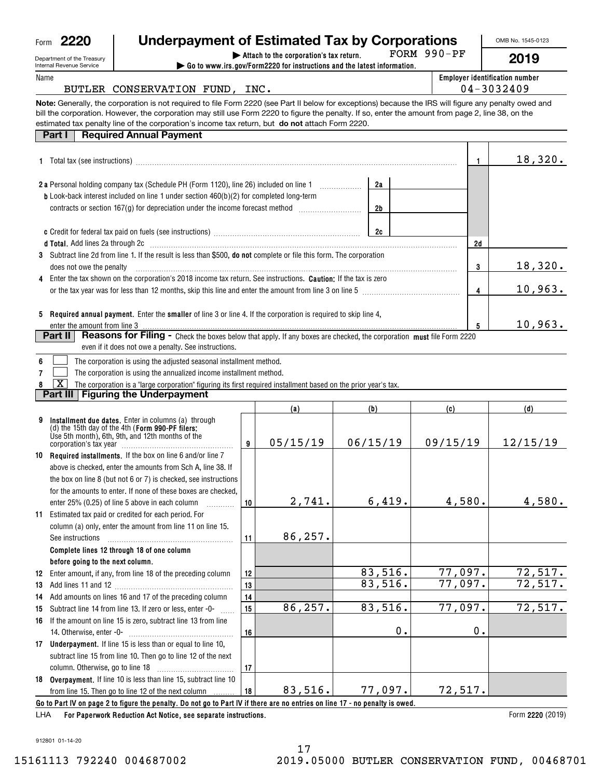| Form | Ι<br>٠ |
|------|--------|
|      |        |

| <b>Internal Revenue Service</b> |  |
|---------------------------------|--|
|                                 |  |

| Form 2220                                                     | Underpayment of Estimated Tax by Corporations                                                                                                                                                                                                                                                                                                                                                                   |              |                                                                                                                    |     |          |                 |    | OMB No. 1545-0123                     |
|---------------------------------------------------------------|-----------------------------------------------------------------------------------------------------------------------------------------------------------------------------------------------------------------------------------------------------------------------------------------------------------------------------------------------------------------------------------------------------------------|--------------|--------------------------------------------------------------------------------------------------------------------|-----|----------|-----------------|----|---------------------------------------|
| Department of the Treasury<br><b>Internal Revenue Service</b> |                                                                                                                                                                                                                                                                                                                                                                                                                 |              | Attach to the corporation's tax return.<br>Go to www.irs.gov/Form2220 for instructions and the latest information. |     |          | FORM 990-PF     |    | 2019                                  |
| Name                                                          |                                                                                                                                                                                                                                                                                                                                                                                                                 |              |                                                                                                                    |     |          |                 |    | <b>Employer identification number</b> |
|                                                               | BUTLER CONSERVATION FUND, INC.                                                                                                                                                                                                                                                                                                                                                                                  |              |                                                                                                                    |     |          |                 |    | 04-3032409                            |
|                                                               | Note: Generally, the corporation is not required to file Form 2220 (see Part II below for exceptions) because the IRS will figure any penalty owed and<br>bill the corporation. However, the corporation may still use Form 2220 to figure the penalty. If so, enter the amount from page 2, line 38, on the<br>estimated tax penalty line of the corporation's income tax return, but do not attach Form 2220. |              |                                                                                                                    |     |          |                 |    |                                       |
| Part I                                                        | <b>Required Annual Payment</b>                                                                                                                                                                                                                                                                                                                                                                                  |              |                                                                                                                    |     |          |                 |    |                                       |
|                                                               |                                                                                                                                                                                                                                                                                                                                                                                                                 |              |                                                                                                                    |     |          |                 | 1. | 18,320.                               |
|                                                               | 2 a Personal holding company tax (Schedule PH (Form 1120), line 26) included on line 1 [1]                                                                                                                                                                                                                                                                                                                      |              |                                                                                                                    |     | 2a       |                 |    |                                       |
|                                                               | <b>b</b> Look-back interest included on line 1 under section 460(b)(2) for completed long-term                                                                                                                                                                                                                                                                                                                  |              |                                                                                                                    |     |          |                 |    |                                       |
|                                                               | contracts or section 167(g) for depreciation under the income forecast method <i>mummummmm</i>                                                                                                                                                                                                                                                                                                                  |              |                                                                                                                    |     | 2b       |                 |    |                                       |
|                                                               |                                                                                                                                                                                                                                                                                                                                                                                                                 |              |                                                                                                                    |     |          |                 |    |                                       |
|                                                               |                                                                                                                                                                                                                                                                                                                                                                                                                 |              |                                                                                                                    |     | 2c       |                 |    |                                       |
|                                                               | d Total. Add lines 2a through 2c [11] matter contract the contract of the contract of the contract of the contract of the contract of the contract of the contract of the contract of the contract of the contract of the cont<br>3 Subtract line 2d from line 1. If the result is less than \$500, <b>do not</b> complete or file this form. The corporation                                                   |              |                                                                                                                    |     |          |                 | 2d |                                       |
| does not owe the penalty                                      |                                                                                                                                                                                                                                                                                                                                                                                                                 |              |                                                                                                                    |     |          |                 | 3  | <u>18,320.</u>                        |
|                                                               | Enter the tax shown on the corporation's 2018 income tax return. See instructions. <b>Caution:</b> If the tax is zero                                                                                                                                                                                                                                                                                           |              |                                                                                                                    |     |          |                 |    |                                       |
|                                                               | or the tax year was for less than 12 months, skip this line and enter the amount from line 3 on line 5                                                                                                                                                                                                                                                                                                          |              |                                                                                                                    |     |          |                 | 4  | 10,963.                               |
|                                                               |                                                                                                                                                                                                                                                                                                                                                                                                                 |              |                                                                                                                    |     |          |                 |    |                                       |
|                                                               | 5 Required annual payment. Enter the smaller of line 3 or line 4. If the corporation is required to skip line 4,                                                                                                                                                                                                                                                                                                |              |                                                                                                                    |     |          |                 |    |                                       |
| enter the amount from line 3<br>Part II                       | Reasons for Filing - Check the boxes below that apply. If any boxes are checked, the corporation must file Form 2220                                                                                                                                                                                                                                                                                            |              |                                                                                                                    |     |          |                 | 5  | 10,963.                               |
|                                                               | even if it does not owe a penalty. See instructions.                                                                                                                                                                                                                                                                                                                                                            |              |                                                                                                                    |     |          |                 |    |                                       |
| 6                                                             | The corporation is using the adjusted seasonal installment method.                                                                                                                                                                                                                                                                                                                                              |              |                                                                                                                    |     |          |                 |    |                                       |
|                                                               | The corporation is using the annualized income installment method.                                                                                                                                                                                                                                                                                                                                              |              |                                                                                                                    |     |          |                 |    |                                       |
| х                                                             | The corporation is a "large corporation" figuring its first required installment based on the prior year's tax.                                                                                                                                                                                                                                                                                                 |              |                                                                                                                    |     |          |                 |    |                                       |
|                                                               | <b>Part III   Figuring the Underpayment</b>                                                                                                                                                                                                                                                                                                                                                                     |              |                                                                                                                    |     |          |                 |    |                                       |
|                                                               |                                                                                                                                                                                                                                                                                                                                                                                                                 |              | (a)                                                                                                                | (b) |          | (c)             |    | (d)                                   |
| 9                                                             | Installment due dates. Enter in columns (a) through<br>(d) the 15th day of the 4th (Form 990-PF filers:                                                                                                                                                                                                                                                                                                         |              |                                                                                                                    |     |          |                 |    |                                       |
|                                                               | Use 5th month), 6th, 9th, and 12th months of the                                                                                                                                                                                                                                                                                                                                                                | $\mathbf{r}$ | 05/15/10                                                                                                           |     | 06/15/10 | 0 0 / 1 5 / 1 0 |    | 12/15/10                              |

|    | 030 001 111011011, 001, 001, 0110 1201 111011013 01 010<br>corporation's tax year                                            | 9  | 05/15/19 | 06/15/19 | 09/15/19 | 12/15/19 |
|----|------------------------------------------------------------------------------------------------------------------------------|----|----------|----------|----------|----------|
|    | 10 Required installments. If the box on line 6 and/or line 7                                                                 |    |          |          |          |          |
|    | above is checked, enter the amounts from Sch A, line 38. If                                                                  |    |          |          |          |          |
|    | the box on line 8 (but not 6 or 7) is checked, see instructions                                                              |    |          |          |          |          |
|    | for the amounts to enter. If none of these boxes are checked.                                                                |    |          |          |          |          |
|    | enter 25% (0.25) of line 5 above in each column                                                                              | 10 | 2,741.   | 6,419.   | 4,580.   | 4,580.   |
| 11 | Estimated tax paid or credited for each period. For                                                                          |    |          |          |          |          |
|    | column (a) only, enter the amount from line 11 on line 15.                                                                   |    |          |          |          |          |
|    | See instructions                                                                                                             | 11 | 86,257.  |          |          |          |
|    | Complete lines 12 through 18 of one column                                                                                   |    |          |          |          |          |
|    | before going to the next column.                                                                                             |    |          |          |          |          |
| 12 | Enter amount, if any, from line 18 of the preceding column                                                                   | 12 |          | 83,516.  | 77,097.  | 72,517.  |
| 13 |                                                                                                                              | 13 |          | 83,516.  | 77,097.  | 72,517.  |
| 14 | Add amounts on lines 16 and 17 of the preceding column                                                                       | 14 |          |          |          |          |
| 15 | Subtract line 14 from line 13. If zero or less, enter -0-                                                                    | 15 | 86,257.  | 83,516.  | 77,097.  | 72,517.  |
| 16 | If the amount on line 15 is zero, subtract line 13 from line                                                                 |    |          |          |          |          |
|    | 14. Otherwise, enter -0-                                                                                                     | 16 |          | 0.       | 0.       |          |
| 17 | Underpayment. If line 15 is less than or equal to line 10,                                                                   |    |          |          |          |          |
|    | subtract line 15 from line 10. Then go to line 12 of the next                                                                |    |          |          |          |          |
|    | column. Otherwise, go to line 18                                                                                             | 17 |          |          |          |          |
|    | 18 Overpayment. If line 10 is less than line 15, subtract line 10                                                            |    |          |          |          |          |
|    | from line 15. Then go to line 12 of the next column                                                                          | 18 | 83,516.  | 77,097.  | 72,517.  |          |
|    | Go to Part IV on page 2 to figure the penalty. Do not go to Part IV if there are no entries on line 17 - no penalty is owed. |    |          |          |          |          |
|    |                                                                                                                              |    |          |          |          |          |

**For Paperwork Reduction Act Notice, see separate instructions.** LHA

Form 2220 (2019)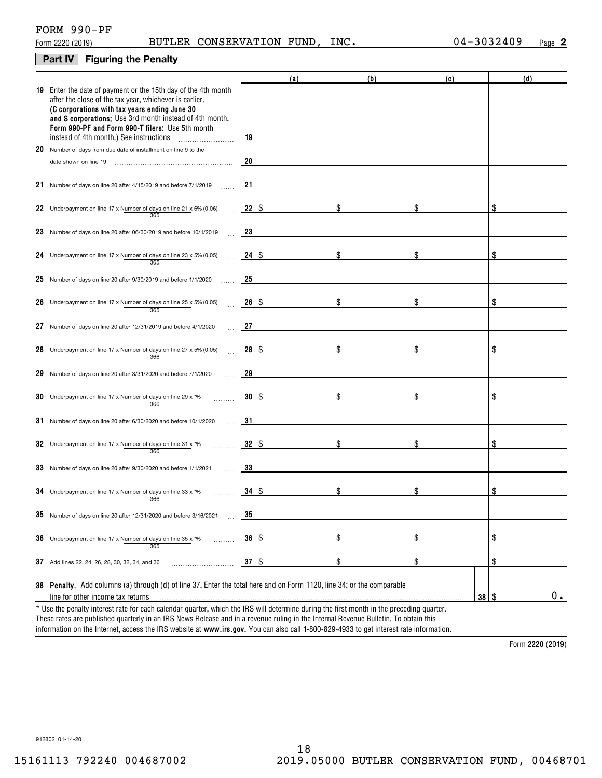## **Part IV Figuring the Penalty**

|    |                                                                                                                                                                                                                                                                                                                                    |                 | (a)  | (b) | (c) | (d)            |
|----|------------------------------------------------------------------------------------------------------------------------------------------------------------------------------------------------------------------------------------------------------------------------------------------------------------------------------------|-----------------|------|-----|-----|----------------|
|    | 19 Enter the date of payment or the 15th day of the 4th month<br>after the close of the tax year, whichever is earlier.<br>(C corporations with tax years ending June 30<br>and S corporations: Use 3rd month instead of 4th month.<br>Form 990-PF and Form 990-T filers: Use 5th month<br>instead of 4th month.) See instructions | 19              |      |     |     |                |
|    | 20 Number of days from due date of installment on line 9 to the                                                                                                                                                                                                                                                                    |                 |      |     |     |                |
|    | date shown on line 19                                                                                                                                                                                                                                                                                                              | 20              |      |     |     |                |
|    | 21 Number of days on line 20 after 4/15/2019 and before 7/1/2019                                                                                                                                                                                                                                                                   | 21              |      |     |     |                |
|    | 22 Underpayment on line 17 x Number of days on line 21 x 6% (0.06)<br>365                                                                                                                                                                                                                                                          | 22              | -\$  | \$  | \$  |                |
|    | 23 Number of days on line 20 after 06/30/2019 and before 10/1/2019                                                                                                                                                                                                                                                                 | 23              |      |     |     |                |
|    | 24 Underpayment on line 17 x Number of days on line 23 x 5% (0.05)<br>365                                                                                                                                                                                                                                                          | 24              | \$   | \$  | \$  | \$             |
|    | 25 Number of days on line 20 after $9/30/2019$ and before $1/1/2020$                                                                                                                                                                                                                                                               | 25              |      |     |     |                |
|    | 26 Underpayment on line 17 x Number of days on line 25 x 5% (0.05)<br>365                                                                                                                                                                                                                                                          | 26              | -\$  | \$  | \$  | \$             |
| 27 | Number of days on line 20 after 12/31/2019 and before 4/1/2020                                                                                                                                                                                                                                                                     | 27              |      |     |     |                |
|    | 28 Underpayment on line 17 x Number of days on line 27 x 5% (0.05)<br>366                                                                                                                                                                                                                                                          | 28              | -\$  | \$  | \$  |                |
| 29 | Number of days on line 20 after 3/31/2020 and before 7/1/2020                                                                                                                                                                                                                                                                      | 29              |      |     |     |                |
|    | 30 Underpayment on line 17 x Number of days on line 29 x $*$ %<br>366                                                                                                                                                                                                                                                              | 30 <sup>2</sup> | - \$ | \$  | \$  | \$             |
|    | $31$ Number of days on line 20 after 6/30/2020 and before 10/1/2020                                                                                                                                                                                                                                                                | 31              |      |     |     |                |
|    | 32 Underpayment on line 17 x Number of days on line 31 x $*$ %<br>366                                                                                                                                                                                                                                                              | 32              | -\$  | \$  | \$  | \$             |
|    | 33 Number of days on line 20 after 9/30/2020 and before 1/1/2021                                                                                                                                                                                                                                                                   | 33              |      |     |     |                |
|    | 34 Underpayment on line 17 x Number of days on line 33 x $*$ %<br>366                                                                                                                                                                                                                                                              | 34 <sup>1</sup> | \$   | \$  | \$  | \$             |
|    | 35 Number of days on line 20 after 12/31/2020 and before 3/16/2021                                                                                                                                                                                                                                                                 | 35              |      |     |     |                |
|    | <b>36</b> Underpayment on line 17 x Number of days on line 35 x $*$ %<br>.<br>365                                                                                                                                                                                                                                                  | 36              | \$   | \$  | \$  | \$             |
|    | 37 Add lines 22, 24, 26, 28, 30, 32, 34, and 36                                                                                                                                                                                                                                                                                    | 37              | \$   | \$  | \$  | \$             |
|    | 38 Penalty. Add columns (a) through (d) of line 37. Enter the total here and on Form 1120, line 34; or the comparable<br>line for other income tax returns<br>* Use the penalty interest rate for each calendar quarter, which the IRS will determine during the first month in the preceding quarter.                             |                 |      |     | 38  | 0.<br><b>S</b> |

information on the Internet, access the IRS website at **www.irs.gov**. You can also call 1-800-829-4933 to get interest rate information. These rates are published quarterly in an IRS News Release and in a revenue ruling in the Internal Revenue Bulletin. To obtain this

**2220**  Form (2019)

912802 01-14-20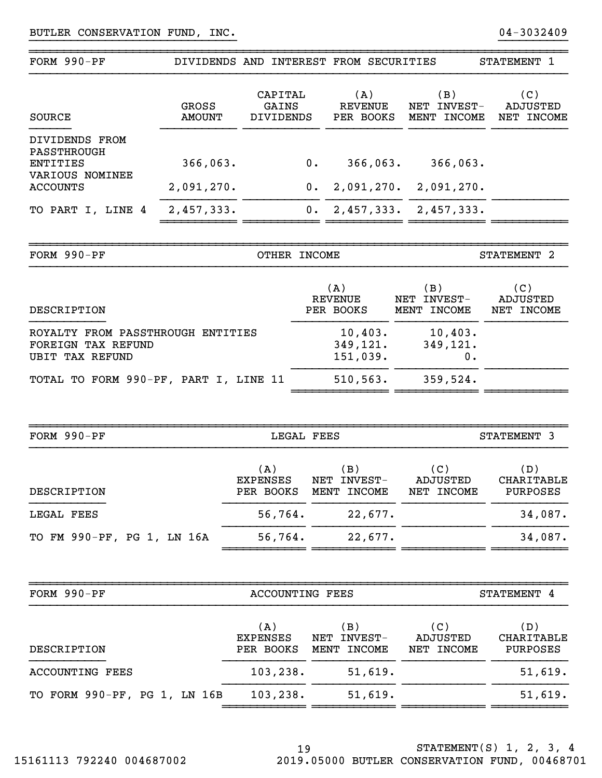| FORM 990-PF                                                                       |                               |                                      |            | DIVIDENDS AND INTEREST FROM SECURITIES |                                   | STATEMENT 1                          |
|-----------------------------------------------------------------------------------|-------------------------------|--------------------------------------|------------|----------------------------------------|-----------------------------------|--------------------------------------|
| <b>SOURCE</b>                                                                     | <b>GROSS</b><br><b>AMOUNT</b> | CAPITAL<br>GAINS<br><b>DIVIDENDS</b> |            | (A)<br><b>REVENUE</b><br>PER BOOKS     | (B)<br>NET INVEST-<br>MENT INCOME | (C)<br>ADJUSTED<br>NET INCOME        |
| DIVIDENDS FROM<br>PASSTHROUGH<br><b>ENTITIES</b>                                  | 366,063.                      |                                      | $0$ .      | 366,063.                               | 366,063.                          |                                      |
| VARIOUS NOMINEE<br><b>ACCOUNTS</b>                                                | 2,091,270.                    |                                      | 0.         | 2,091,270.                             | 2,091,270.                        |                                      |
| TO PART I, LINE 4                                                                 | 2,457,333.                    |                                      | 0.         |                                        | $2,457,333.$ $2,457,333.$         |                                      |
|                                                                                   |                               |                                      |            |                                        |                                   |                                      |
| FORM 990-PF                                                                       |                               | OTHER INCOME                         |            |                                        |                                   | STATEMENT 2                          |
| DESCRIPTION                                                                       |                               |                                      |            | (A)<br><b>REVENUE</b><br>PER BOOKS     | (B)<br>NET INVEST-<br>MENT INCOME | (C)<br>ADJUSTED<br>NET INCOME        |
| ROYALTY FROM PASSTHROUGH ENTITIES<br>FOREIGN TAX REFUND<br><b>UBIT TAX REFUND</b> |                               |                                      |            | 10,403.<br>349, 121.<br>151,039.       | 10,403.<br>349,121.<br>0.         |                                      |
| TOTAL TO FORM 990-PF, PART I, LINE 11                                             |                               |                                      |            | 510,563.                               | 359,524.                          |                                      |
|                                                                                   |                               |                                      |            |                                        |                                   |                                      |
| FORM 990-PF                                                                       |                               |                                      | LEGAL FEES |                                        |                                   | STATEMENT 3                          |
| DESCRIPTION                                                                       |                               | (A)<br><b>EXPENSES</b><br>PER BOOKS  |            | (B)<br>NET INVEST-<br>MENT INCOME      | (C)<br>ADJUSTED<br>NET INCOME     | (D)<br><b>CHARITABLE</b><br>PURPOSES |
| LEGAL FEES                                                                        |                               | 56,764.                              |            | 22,677.                                |                                   | 34,087.                              |
| TO FM 990-PF, PG 1, LN 16A                                                        |                               | 56,764.                              |            | 22,677.                                |                                   | 34,087.                              |
|                                                                                   |                               |                                      |            |                                        |                                   |                                      |
| FORM 990-PF                                                                       |                               | <b>ACCOUNTING FEES</b>               |            |                                        |                                   | STATEMENT 4                          |
| DESCRIPTION                                                                       |                               | (A)<br><b>EXPENSES</b><br>PER BOOKS  |            | (B)<br>NET INVEST-<br>MENT INCOME      | (C)<br>ADJUSTED<br>NET INCOME     | (D)<br>CHARITABLE<br>PURPOSES        |
| <b>ACCOUNTING FEES</b>                                                            |                               | 103, 238.                            |            | 51,619.                                |                                   | 51,619.                              |
| TO FORM 990-PF, PG 1, LN 16B                                                      |                               | 103, 238.                            |            | 51,619.                                |                                   | 51,619.                              |
|                                                                                   |                               |                                      |            |                                        |                                   |                                      |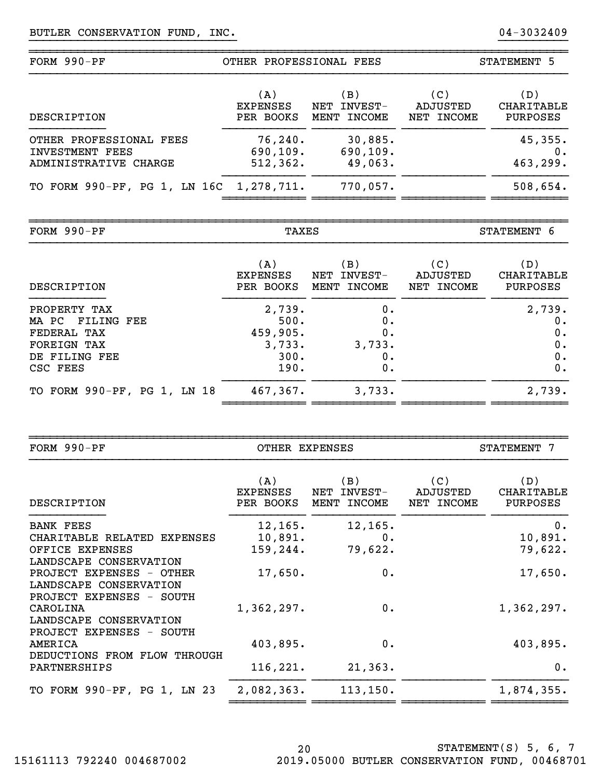| FORM $990-PF$                                                       | OTHER PROFESSIONAL FEES             |                                      | STATEMENT 5                   |                                             |
|---------------------------------------------------------------------|-------------------------------------|--------------------------------------|-------------------------------|---------------------------------------------|
| DESCRIPTION                                                         | (A)<br><b>EXPENSES</b><br>PER BOOKS | (B)<br>INVEST-<br>NET<br>MENT INCOME | (C)<br>ADJUSTED<br>NET INCOME | (D)<br><b>CHARITABLE</b><br><b>PURPOSES</b> |
| OTHER PROFESSIONAL FEES<br>INVESTMENT FEES<br>ADMINISTRATIVE CHARGE | 76, 240.<br>690, 109.<br>512, 362.  | 30,885.<br>690, 109.<br>49,063.      |                               | 45,355.<br>$0$ .<br>463,299.                |
| TO FORM 990-PF, PG 1, LN 16C 1, 278, 711.                           |                                     | 770,057.                             |                               | 508,654.                                    |

~~~~~~~~~~~~~~~~~~~~~~~~~~~~~~~~~~~~~~~~~~~~~~~~~~~~~~~~~~~~~~~~~~~~~~~~~~~~~~

FORM 
$$
990-PF
$$

~~~~~~~~~~~~~~~~~~~~~~~~~~~~~~~~~~~~~~~~~~~~~~~~~~~~~~~~~~~~~~~~~~~~~~~~~~~~~~

TAXES STATEMENT 6

| DESCRIPTION                                                                                        | (A)<br><b>EXPENSES</b><br>PER BOOKS                  | $\mathbf{B}$ )<br>INVEST-<br>NET<br>MENT INCOME | (C)<br>ADJUSTED<br>NET INCOME | (D)<br>CHARITABLE<br>PURPOSES           |
|----------------------------------------------------------------------------------------------------|------------------------------------------------------|-------------------------------------------------|-------------------------------|-----------------------------------------|
| PROPERTY TAX<br>MA PC FILING FEE<br>FEDERAL TAX<br><b>FOREIGN TAX</b><br>DE FILING FEE<br>CSC FEES | 2,739.<br>500.<br>459,905.<br>3,733.<br>300.<br>190. | 0.<br>0.<br>0.<br>3,733.<br>0.<br>0.            |                               | 2,739.<br>$0$ .<br>0.<br>0.<br>0.<br>0. |
| TO FORM 990-PF, PG 1, LN 18                                                                        | 467,367.                                             | 3,733.                                          |                               | 2,739.                                  |

| FORM $990-PF$                                                                  | OTHER EXPENSES               |                                      |                               | <b>STATEMENT</b><br>7                |  |
|--------------------------------------------------------------------------------|------------------------------|--------------------------------------|-------------------------------|--------------------------------------|--|
| DESCRIPTION                                                                    | (A)<br>EXPENSES<br>PER BOOKS | (B)<br>NET<br>INVEST-<br>MENT INCOME | (C)<br>ADJUSTED<br>NET INCOME | (D)<br>CHARITABLE<br><b>PURPOSES</b> |  |
| <b>BANK FEES</b>                                                               | 12, 165.                     | 12, 165.                             |                               | $0$ .                                |  |
| CHARITABLE RELATED EXPENSES<br>OFFICE EXPENSES                                 | 10,891.<br>159,244.          | 0.<br>79,622.                        |                               | 10,891.<br>79,622.                   |  |
| LANDSCAPE CONSERVATION                                                         |                              |                                      |                               |                                      |  |
| PROJECT EXPENSES - OTHER<br>LANDSCAPE CONSERVATION<br>PROJECT EXPENSES - SOUTH | 17,650.                      | 0.                                   |                               | 17,650.                              |  |
| CAROLINA                                                                       | 1,362,297.                   | 0.                                   |                               | 1,362,297.                           |  |
| LANDSCAPE CONSERVATION<br>PROJECT EXPENSES - SOUTH                             |                              |                                      |                               |                                      |  |
| AMERICA                                                                        | 403,895.                     | 0.                                   |                               | 403,895.                             |  |
| DEDUCTIONS FROM FLOW THROUGH<br>PARTNERSHIPS                                   | 116, 221.                    | 21,363.                              |                               | $0$ .                                |  |
| TO FORM 990-PF, PG 1, LN 23                                                    | 2,082,363.                   | 113, 150.                            |                               | 1,874,355.                           |  |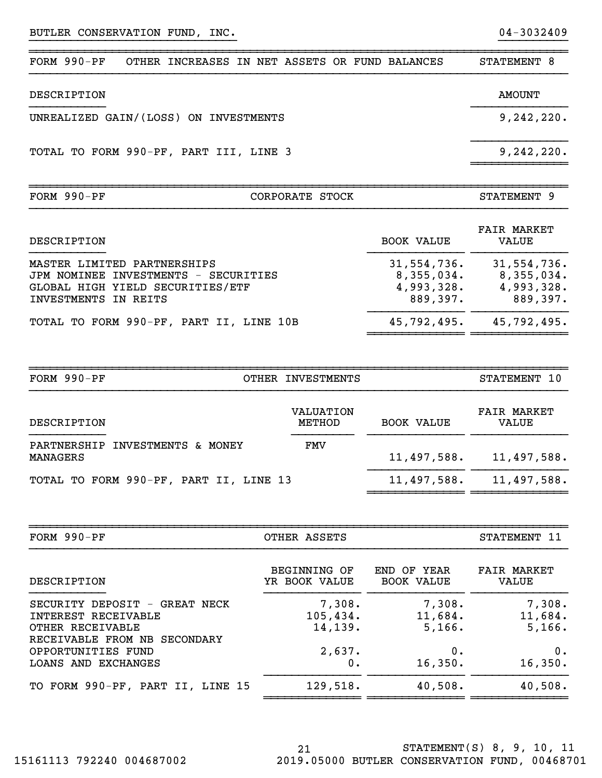| FORM $990-PF$<br>CORPORATE STOCK                                | STATEMENT 9   |
|-----------------------------------------------------------------|---------------|
| TOTAL TO FORM 990-PF, PART III, LINE 3                          | 9,242,220.    |
| UNREALIZED GAIN/(LOSS) ON INVESTMENTS                           | 9,242,220.    |
| DESCRIPTION                                                     | <b>AMOUNT</b> |
| $FORM 990-PF$<br>OTHER INCREASES IN NET ASSETS OR FUND BALANCES | STATEMENT 8   |

~~~~~~~~~~~~~~~~~~~~~~~~~~~~~~~~~~~~~~~~~~~~~~~~~~~~~~~~~~~~~~~~~~~~~~~~~~~~~~

| DESCRIPTION                                                                                                                     | BOOK VALUE                                          | FAIR MARKET<br><b>VALUE</b>                         |
|---------------------------------------------------------------------------------------------------------------------------------|-----------------------------------------------------|-----------------------------------------------------|
| MASTER LIMITED PARTNERSHIPS<br>JPM NOMINEE INVESTMENTS - SECURITIES<br>GLOBAL HIGH YIELD SECURITIES/ETF<br>INVESTMENTS IN REITS | 31,554,736.<br>8,355,034.<br>4,993,328.<br>889,397. | 31,554,736.<br>8,355,034.<br>4,993,328.<br>889,397. |
| TOTAL TO FORM 990-PF, PART II, LINE 10B                                                                                         | 45,792,495.                                         | 45,792,495.                                         |

| FORM 990-PF                                 | OTHER INVESTMENTS   |                   | STATEMENT 10                |
|---------------------------------------------|---------------------|-------------------|-----------------------------|
| DESCRIPTION                                 | VALUATION<br>METHOD | <b>BOOK VALUE</b> | <b>FAIR MARKET</b><br>VALUE |
| PARTNERSHIP INVESTMENTS & MONEY<br>MANAGERS | FMV                 | 11,497,588.       | 11,497,588.                 |
| TOTAL TO FORM 990-PF, PART II, LINE 13      |                     | 11,497,588.       | 11,497,588.                 |

| $FORM 990-PF$                                                                                            | OTHER ASSETS                   |                                  | STATEMENT 11                |
|----------------------------------------------------------------------------------------------------------|--------------------------------|----------------------------------|-----------------------------|
| DESCRIPTION                                                                                              | BEGINNING OF<br>YR BOOK VALUE  | END OF YEAR<br><b>BOOK VALUE</b> | <b>FAIR MARKET</b><br>VALUE |
| SECURITY DEPOSIT - GREAT NECK<br>INTEREST RECEIVABLE<br>OTHER RECEIVABLE<br>RECEIVABLE FROM NB SECONDARY | 7,308.<br>105,434.<br>14, 139. | 7,308.<br>11,684.<br>5,166.      | 7,308.<br>11,684.<br>5,166. |
| OPPORTUNITIES FUND<br>LOANS AND EXCHANGES                                                                | 2,637.<br>0.                   | 0.<br>16,350.                    | 0.<br>16,350.               |
| TO FORM 990-PF, PART II, LINE 15                                                                         | 129,518.                       | 40,508.                          | 40,508.                     |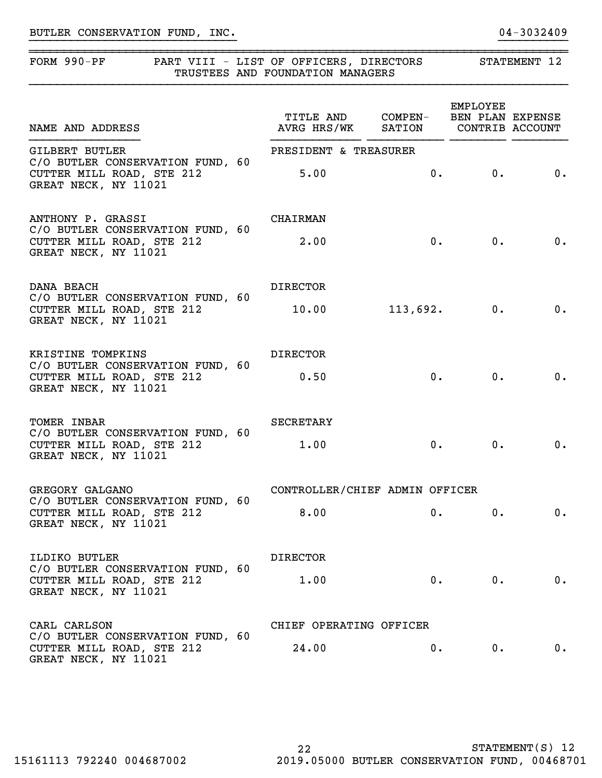## BUTLER CONSERVATION FUND, INC. 2008 2014 01 2013 2409

## FORM 990-PF PART VIII - LIST OF OFFICERS, DIRECTORS STATEMENT 12 TRUSTEES AND FOUNDATION MANAGERS

}}}}}}}}}}}}}}}}}}}}}}}}}}}}}} }}}}}}}}}}

~~~~~~~~~~~~~~~~~~~~~~~~~~~~~~~~~~~~~~~~~~~~~~~~~~~~~~~~~~~~~~~~~~~~~~~~~~~~~~

| NAME AND ADDRESS                                                                                               | TITLE AND COMPEN-<br>AVRG HRS/WK SATION |          | EMPLOYEE<br>BEN PLAN EXPENSE | CONTRIB ACCOUNT |
|----------------------------------------------------------------------------------------------------------------|-----------------------------------------|----------|------------------------------|-----------------|
| <b>GILBERT BUTLER</b><br>C/O BUTLER CONSERVATION FUND, 60<br>CUTTER MILL ROAD, STE 212<br>GREAT NECK, NY 11021 | PRESIDENT & TREASURER<br>5.00           |          | 0.<br>0.                     | 0.              |
| ANTHONY P. GRASSI<br>C/O BUTLER CONSERVATION FUND, 60<br>CUTTER MILL ROAD, STE 212<br>GREAT NECK, NY 11021     | CHAIRMAN<br>2.00                        |          | 0.<br>0.                     | 0.              |
| DANA BEACH<br>C/O BUTLER CONSERVATION FUND, 60<br>CUTTER MILL ROAD, STE 212<br>GREAT NECK, NY 11021            | <b>DIRECTOR</b><br>10.00                | 113,692. | 0.                           | 0.              |
| KRISTINE TOMPKINS<br>C/O BUTLER CONSERVATION FUND, 60<br>CUTTER MILL ROAD, STE 212<br>GREAT NECK, NY 11021     | <b>DIRECTOR</b><br>0.50                 | 0.       | 0.                           | 0.              |
| TOMER INBAR<br>C/O BUTLER CONSERVATION FUND, 60<br>CUTTER MILL ROAD, STE 212<br>GREAT NECK, NY 11021           | SECRETARY<br>1.00                       | 0.       | 0.                           | 0.              |
| GREGORY GALGANO<br>C/O BUTLER CONSERVATION FUND, 60<br>CUTTER MILL ROAD, STE 212<br>GREAT NECK, NY 11021       | CONTROLLER/CHIEF ADMIN OFFICER<br>8.00  | 0.       | $0 \cdot$                    | 0.              |
| ILDIKO BUTLER<br>C/O BUTLER CONSERVATION FUND, 60<br>CUTTER MILL ROAD, STE 212<br>GREAT NECK, NY 11021         | <b>DIRECTOR</b><br>1.00                 |          | 0.<br>0.                     | 0.              |
| CARL CARLSON<br>C/O BUTLER CONSERVATION FUND, 60<br>CUTTER MILL ROAD, STE 212<br>GREAT NECK, NY 11021          | CHIEF OPERATING OFFICER<br>24.00        | 0.       | $0$ .                        | 0.              |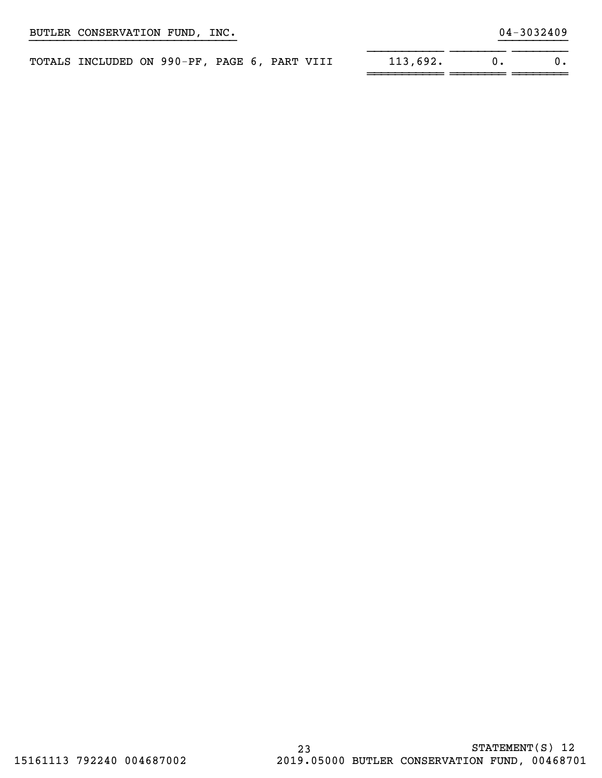|  |                           |  |                                               | STATEMENT(S) 12 |
|--|---------------------------|--|-----------------------------------------------|-----------------|
|  | 15161113 792240 004687002 |  | 2019.05000 BUTLER CONSERVATION FUND, 00468701 |                 |

# BUTLER CONSERVATION FUND, INC. 2008 2010 12:3032409

| TOTALS INCLUDED ON 990-PF, PAGE 6, PART VIII |  |  |  | 113,692. |  |
|----------------------------------------------|--|--|--|----------|--|
|                                              |  |  |  |          |  |

}}}}}}}}}}}}}}}}}}}}}}}}}}}}}} }}}}}}}}}}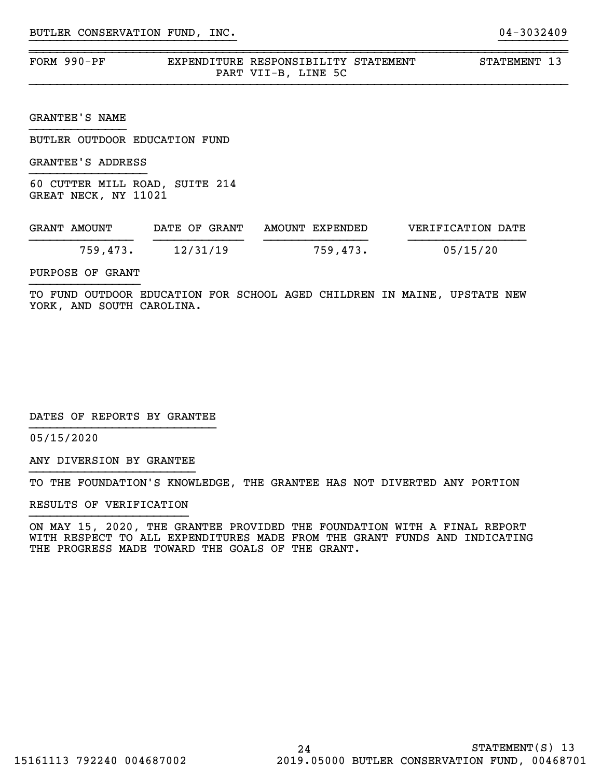| FORM 990-PF | EXPENDITURE RESPONSIBILITY STATEMENT |                     |  | STATEMENT 13 |  |
|-------------|--------------------------------------|---------------------|--|--------------|--|
|             |                                      | PART VII-B, LINE 5C |  |              |  |

~~~~~~~~~~~~~~~~~~~~~~~~~~~~~~~~~~~~~~~~~~~~~~~~~~~~~~~~~~~~~~~~~~~~~~~~~~~~~~

GRANTEE'S NAME

BUTLER OUTDOOR EDUCATION FUND

GRANTEE'S ADDRESS

60 CUTTER MILL ROAD, SUITE 214 GREAT NECK, NY 11021

| GRANT AMOUNT |          | DATE OF GRANT | AMOUNT EXPENDED | VERIFICATION DATE |
|--------------|----------|---------------|-----------------|-------------------|
|              | 759,473. | 12/31/19      | 759,473.        | 05/15/20          |

PURPOSE OF GRANT

TO FUND OUTDOOR EDUCATION FOR SCHOOL AGED CHILDREN IN MAINE, UPSTATE NEW YORK, AND SOUTH CAROLINA.

DATES OF REPORTS BY GRANTEE

05/15/2020

ANY DIVERSION BY GRANTEE }}}}}}}}}}}}}}}}}}}}}}}}

TO THE FOUNDATION'S KNOWLEDGE, THE GRANTEE HAS NOT DIVERTED ANY PORTION

RESULTS OF VERIFICATION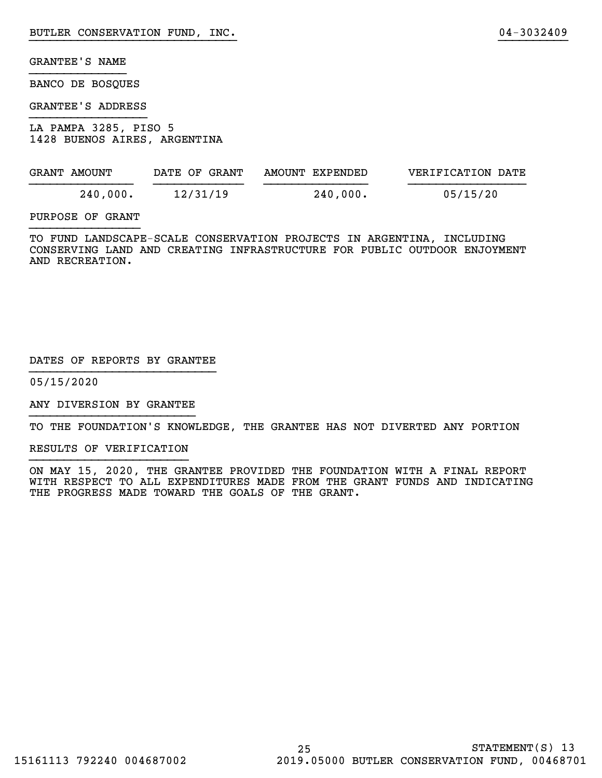BANCO DE BOSQUES

GRANTEE'S ADDRESS

LA PAMPA 3285, PISO 5 1428 BUENOS AIRES, ARGENTINA

| GRANT AMOUNT | DATE OF GRANT | AMOUNT EXPENDED | VERIFICATION DATE |  |
|--------------|---------------|-----------------|-------------------|--|
| 240,000.     | 12/31/19      | 240,000.        | 05/15/20          |  |

}}}}}}}}}}}}}}}}}}}}}}}}}}}}}} }}}}}}}}}}

PURPOSE OF GRANT

TO FUND LANDSCAPE-SCALE CONSERVATION PROJECTS IN ARGENTINA, INCLUDING CONSERVING LAND AND CREATING INFRASTRUCTURE FOR PUBLIC OUTDOOR ENJOYMENT AND RECREATION.

#### DATES OF REPORTS BY GRANTEE

05/15/2020

ANY DIVERSION BY GRANTEE }}}}}}}}}}}}}}}}}}}}}}}}

TO THE FOUNDATION'S KNOWLEDGE, THE GRANTEE HAS NOT DIVERTED ANY PORTION

RESULTS OF VERIFICATION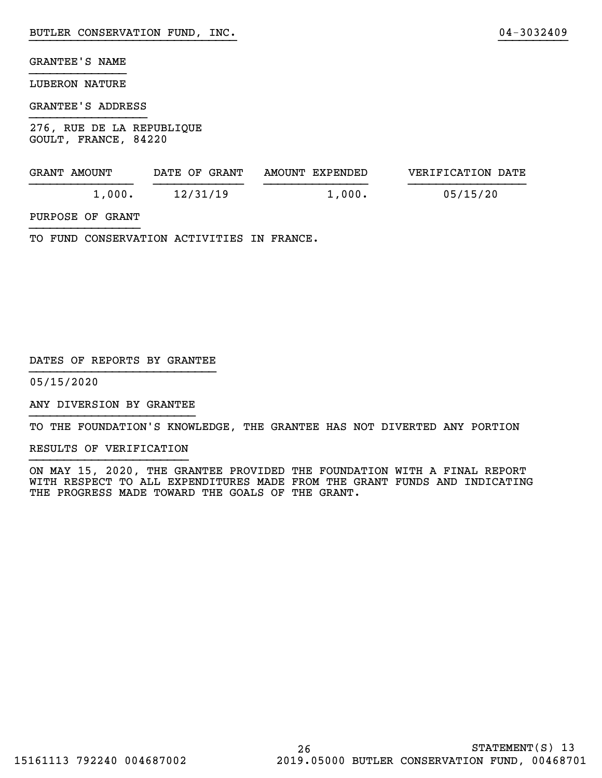### LUBERON NATURE

#### GRANTEE'S ADDRESS

276, RUE DE LA REPUBLIQUE GOULT, FRANCE, 84220

| GRANT AMOUNT | DATE OF GRANT | AMOUNT EXPENDED | VERIFICATION DATE |
|--------------|---------------|-----------------|-------------------|
| 1,000.       | 12/31/19      | 1,000.          | 05/15/20          |

}}}}}}}}}}}}}}}}}}}}}}}}}}}}}} }}}}}}}}}}

## PURPOSE OF GRANT

TO FUND CONSERVATION ACTIVITIES IN FRANCE.

#### DATES OF REPORTS BY GRANTEE

05/15/2020

ANY DIVERSION BY GRANTEE }}}}}}}}}}}}}}}}}}}}}}}}

TO THE FOUNDATION'S KNOWLEDGE, THE GRANTEE HAS NOT DIVERTED ANY PORTION

RESULTS OF VERIFICATION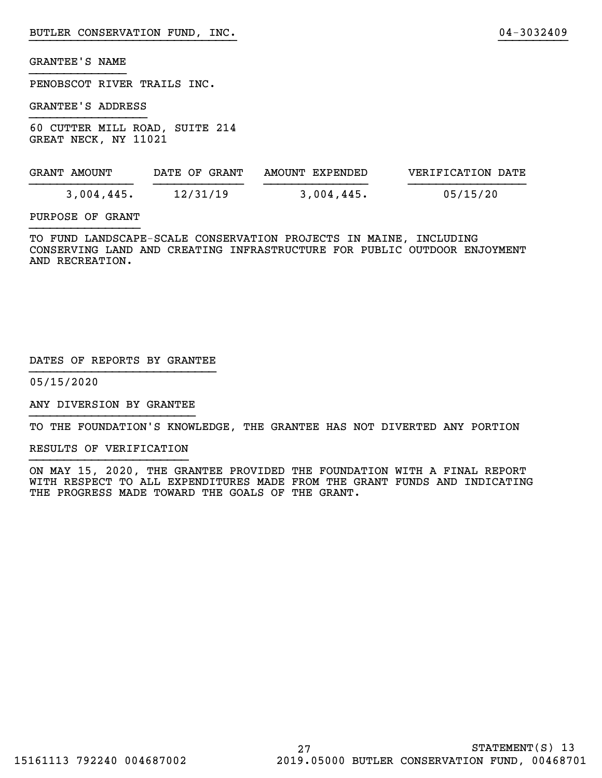PENOBSCOT RIVER TRAILS INC.

GRANTEE'S ADDRESS

60 CUTTER MILL ROAD, SUITE 214 GREAT NECK, NY 11021

| GRANT AMOUNT | DATE OF GRANT | AMOUNT EXPENDED | VERIFICATION DATE |
|--------------|---------------|-----------------|-------------------|
| 3,004,445.   | 12/31/19      | $3,004,445$ .   | 05/15/20          |

}}}}}}}}}}}}}}}}}}}}}}}}}}}}}} }}}}}}}}}}

#### PURPOSE OF GRANT

TO FUND LANDSCAPE-SCALE CONSERVATION PROJECTS IN MAINE, INCLUDING CONSERVING LAND AND CREATING INFRASTRUCTURE FOR PUBLIC OUTDOOR ENJOYMENT AND RECREATION.

#### DATES OF REPORTS BY GRANTEE

05/15/2020

ANY DIVERSION BY GRANTEE }}}}}}}}}}}}}}}}}}}}}}}}

TO THE FOUNDATION'S KNOWLEDGE, THE GRANTEE HAS NOT DIVERTED ANY PORTION

RESULTS OF VERIFICATION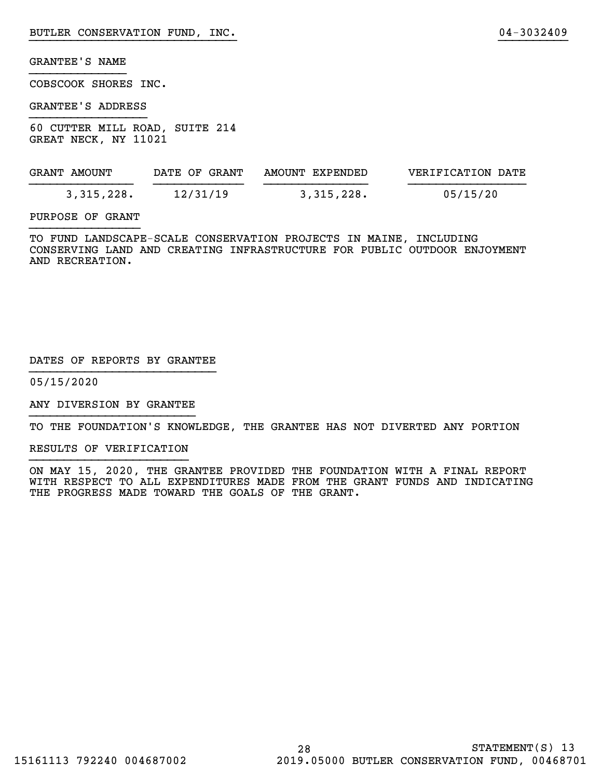COBSCOOK SHORES INC.

GRANTEE'S ADDRESS

60 CUTTER MILL ROAD, SUITE 214 GREAT NECK, NY 11021

| GRANT AMOUNT | DATE OF GRANT | AMOUNT EXPENDED | VERIFICATION DATE |
|--------------|---------------|-----------------|-------------------|
| 3,315,228.   | 12/31/19      | 3,315,228.      | 05/15/20          |

}}}}}}}}}}}}}}}}}}}}}}}}}}}}}} }}}}}}}}}}

#### PURPOSE OF GRANT

TO FUND LANDSCAPE-SCALE CONSERVATION PROJECTS IN MAINE, INCLUDING CONSERVING LAND AND CREATING INFRASTRUCTURE FOR PUBLIC OUTDOOR ENJOYMENT AND RECREATION.

#### DATES OF REPORTS BY GRANTEE

05/15/2020

ANY DIVERSION BY GRANTEE }}}}}}}}}}}}}}}}}}}}}}}}

TO THE FOUNDATION'S KNOWLEDGE, THE GRANTEE HAS NOT DIVERTED ANY PORTION

RESULTS OF VERIFICATION